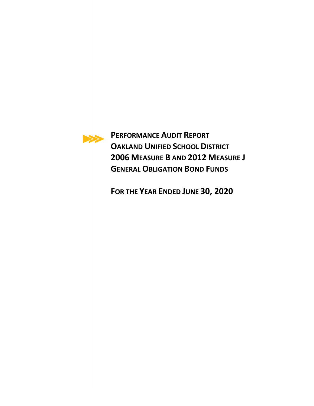

**PERFORMANCE AUDIT REPORT OAKLAND UNIFIED SCHOOL DISTRICT 2006 MEASURE B AND 2012 MEASURE J GENERAL OBLIGATION BOND FUNDS**

**FOR THE YEAR ENDED JUNE 30, 2020**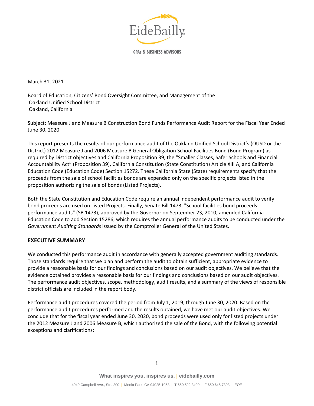

**CPAs & BUSINESS ADVISORS** 

March 31, 2021

Board of Education, Citizens' Bond Oversight Committee, and Management of the Oakland Unified School District Oakland, California

Subject: Measure J and Measure B Construction Bond Funds Performance Audit Report for the Fiscal Year Ended June 30, 2020

This report presents the results of our performance audit of the Oakland Unified School District's (OUSD or the District) 2012 Measure J and 2006 Measure B General Obligation School Facilities Bond (Bond Program) as required by District objectives and California Proposition 39, the "Smaller Classes, Safer Schools and Financial Accountability Act" (Proposition 39), California Constitution (State Constitution) Article XIII A, and California Education Code (Education Code) Section 15272. These California State (State) requirements specify that the proceeds from the sale of school facilities bonds are expended only on the specific projects listed in the proposition authorizing the sale of bonds (Listed Projects).

Both the State Constitution and Education Code require an annual independent performance audit to verify bond proceeds are used on Listed Projects. Finally, Senate Bill 1473, "School facilities bond proceeds: performance audits" (SB 1473), approved by the Governor on September 23, 2010, amended California Education Code to add Section 15286, which requires the annual performance audits to be conducted under the *Government Auditing Standards* issued by the Comptroller General of the United States.

#### **EXECUTIVE SUMMARY**

We conducted this performance audit in accordance with generally accepted government auditing standards. Those standards require that we plan and perform the audit to obtain sufficient, appropriate evidence to provide a reasonable basis for our findings and conclusions based on our audit objectives. We believe that the evidence obtained provides a reasonable basis for our findings and conclusions based on our audit objectives. The performance audit objectives, scope, methodology, audit results, and a summary of the views of responsible district officials are included in the report body.

Performance audit procedures covered the period from July 1, 2019, through June 30, 2020. Based on the performance audit procedures performed and the results obtained, we have met our audit objectives. We conclude that for the fiscal year ended June 30, 2020, bond proceeds were used only for listed projects under the 2012 Measure J and 2006 Measure B, which authorized the sale of the Bond, with the following potential exceptions and clarifications: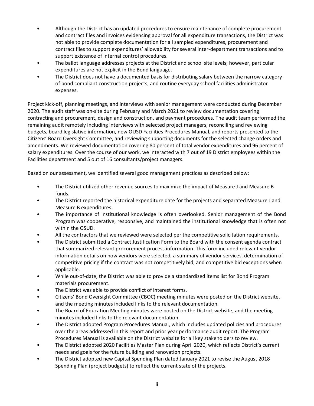- Although the District has an updated procedures to ensure maintenance of complete procurement and contract files and invoices evidencing approval for all expenditure transactions, the District was not able to provide complete documentation for all sampled expenditures, procurement and contract files to support expenditures' allowability for several inter-department transactions and to support existence of internal control procedures.
- The ballot language addresses projects at the District and school site levels; however, particular expenditures are not explicit in the Bond language.
- The District does not have a documented basis for distributing salary between the narrow category of bond compliant construction projects, and routine everyday school facilities administrator expenses.

Project kick-off, planning meetings, and interviews with senior management were conducted during December 2020. The audit staff was on-site during February and March 2021 to review documentation covering contracting and procurement, design and construction, and payment procedures. The audit team performed the remaining audit remotely including interviews with selected project managers, reconciling and reviewing budgets, board legislative information, new OUSD Facilities Procedures Manual, and reports presented to the Citizens' Board Oversight Committee, and reviewing supporting documents for the selected change orders and amendments. We reviewed documentation covering 80 percent of total vendor expenditures and 96 percent of salary expenditures. Over the course of our work, we interacted with 7 out of 19 District employees within the Facilities department and 5 out of 16 consultants/project managers.

Based on our assessment, we identified several good management practices as described below:

- The District utilized other revenue sources to maximize the impact of Measure J and Measure B funds.
- The District reported the historical expenditure date for the projects and separated Measure J and Measure B expenditures.
- The importance of institutional knowledge is often overlooked. Senior management of the Bond Program was cooperative, responsive, and maintained the institutional knowledge that is often not within the OSUD.
- All the contractors that we reviewed were selected per the competitive solicitation requirements.
- The District submitted a Contract Justification Form to the Board with the consent agenda contract that summarized relevant procurement process information. This form included relevant vendor information details on how vendors were selected, a summary of vendor services, determination of competitive pricing if the contract was not competitively bid, and competitive bid exceptions when applicable.
- While out-of-date, the District was able to provide a standardized items list for Bond Program materials procurement.
- The District was able to provide conflict of interest forms.
- Citizens' Bond Oversight Committee (CBOC) meeting minutes were posted on the District website, and the meeting minutes included links to the relevant documentation.
- The Board of Education Meeting minutes were posted on the District website, and the meeting minutes included links to the relevant documentation.
- The District adopted Program Procedures Manual, which includes updated policies and procedures over the areas addressed in this report and prior year performance audit report. The Program Procedures Manual is available on the District website for all key stakeholders to review.
- The District adopted 2020 Facilities Master Plan during April 2020, which reflects District's current needs and goals for the future building and renovation projects.
- The District adopted new Capital Spending Plan dated January 2021 to revise the August 2018 Spending Plan (project budgets) to reflect the current state of the projects.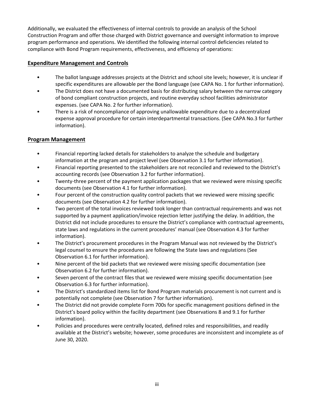Additionally, we evaluated the effectiveness of internal controls to provide an analysis of the School Construction Program and offer those charged with District governance and oversight information to improve program performance and operations. We identified the following internal control deficiencies related to compliance with Bond Program requirements, effectiveness, and efficiency of operations:

#### **Expenditure Management and Controls**

- The ballot language addresses projects at the District and school site levels; however, it is unclear if specific expenditures are allowable per the Bond language (see CAPA No. 1 for further information).
- The District does not have a documented basis for distributing salary between the narrow category of bond compliant construction projects, and routine everyday school facilities administrator expenses. (see CAPA No. 2 for further information).
- There is a risk of noncompliance of approving unallowable expenditure due to a decentralized expense approval procedure for certain interdepartmental transactions. (See CAPA No.3 for further information).

#### **Program Management**

- Financial reporting lacked details for stakeholders to analyze the schedule and budgetary information at the program and project level (see Observation 3.1 for further information).
- Financial reporting presented to the stakeholders are not reconciled and reviewed to the District's accounting records (see Observation 3.2 for further information).
- Twenty-three percent of the payment application packages that we reviewed were missing specific documents (see Observation 4.1 for further information).
- Four percent of the construction quality control packets that we reviewed were missing specific documents (see Observation 4.2 for further information).
- Two percent of the total invoices reviewed took longer than contractual requirements and was not supported by a payment application/invoice rejection letter justifying the delay. In addition, the District did not include procedures to ensure the District's compliance with contractual agreements, state laws and regulations in the current procedures' manual (see Observation 4.3 for further information).
- The District's procurement procedures in the Program Manual was not reviewed by the District's legal counsel to ensure the procedures are following the State laws and regulations (See Observation 6.1 for further information).
- Nine percent of the bid packets that we reviewed were missing specific documentation (see Observation 6.2 for further information).
- Seven percent of the contract files that we reviewed were missing specific documentation (see Observation 6.3 for further information).
- The District's standardized items list for Bond Program materials procurement is not current and is potentially not complete (see Observation 7 for further information).
- The District did not provide complete Form 700s for specific management positions defined in the District's board policy within the facility department (see Observations 8 and 9.1 for further information).
- Policies and procedures were centrally located, defined roles and responsibilities, and readily available at the District's website; however, some procedures are inconsistent and incomplete as of June 30, 2020.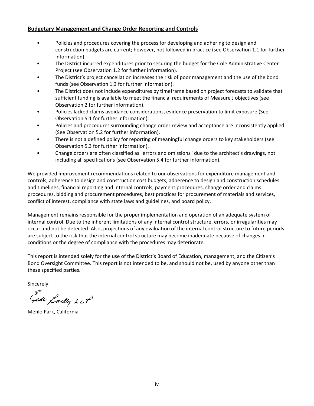#### **Budgetary Management and Change Order Reporting and Controls**

- Policies and procedures covering the process for developing and adhering to design and construction budgets are current; however, not followed in practice (see Observation 1.1 for further information).
- The District incurred expenditures prior to securing the budget for the Cole Administrative Center Project (see Observation 1.2 for further information).
- The District's project cancellation increases the risk of poor management and the use of the bond funds (see Observation 1.3 for further information).
- The District does not include expenditures by timeframe based on project forecasts to validate that sufficient funding is available to meet the financial requirements of Measure J objectives (see Observation 2 for further information).
- Policies lacked claims avoidance considerations, evidence preservation to limit exposure (See Observation 5.1 for further information).
- Policies and procedures surrounding change order review and acceptance are inconsistently applied (See Observation 5.2 for further information).
- There is not a defined policy for reporting of meaningful change orders to key stakeholders (see Observation 5.3 for further information).
- Change orders are often classified as "errors and omissions" due to the architect's drawings, not including all specifications (see Observation 5.4 for further information).

We provided improvement recommendations related to our observations for expenditure management and controls, adherence to design and construction cost budgets, adherence to design and construction schedules and timelines, financial reporting and internal controls, payment procedures, change order and claims procedures, bidding and procurement procedures, best practices for procurement of materials and services, conflict of interest, compliance with state laws and guidelines, and board policy.

Management remains responsible for the proper implementation and operation of an adequate system of internal control. Due to the inherent limitations of any internal control structure, errors, or irregularities may occur and not be detected. Also, projections of any evaluation of the internal control structure to future periods are subject to the risk that the internal control structure may become inadequate because of changes in conditions or the degree of compliance with the procedures may deteriorate.

This report is intended solely for the use of the District's Board of Education, management, and the Citizen's Bond Oversight Committee. This report is not intended to be, and should not be, used by anyone other than these specified parties.

Sincerely,

Gide Sailly LLP

Menlo Park, California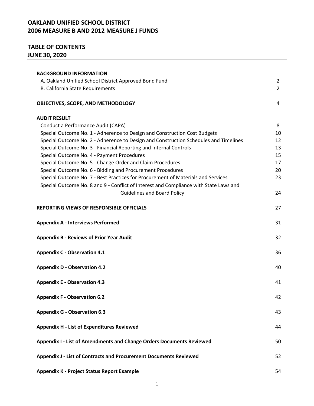## **TABLE OF CONTENTS JUNE 30, 2020**

| <b>BACKGROUND INFORMATION</b>                                                         |    |
|---------------------------------------------------------------------------------------|----|
| A. Oakland Unified School District Approved Bond Fund                                 | 2  |
| B. California State Requirements                                                      | 2  |
|                                                                                       |    |
| OBJECTIVES, SCOPE, AND METHODOLOGY                                                    | 4  |
|                                                                                       |    |
| <b>AUDIT RESULT</b>                                                                   |    |
| Conduct a Performance Audit (CAPA)                                                    | 8  |
| Special Outcome No. 1 - Adherence to Design and Construction Cost Budgets             | 10 |
| Special Outcome No. 2 - Adherence to Design and Construction Schedules and Timelines  | 12 |
| Special Outcome No. 3 - Financial Reporting and Internal Controls                     | 13 |
| Special Outcome No. 4 - Payment Procedures                                            | 15 |
| Special Outcome No. 5 - Change Order and Claim Procedures                             | 17 |
| Special Outcome No. 6 - Bidding and Procurement Procedures                            | 20 |
| Special Outcome No. 7 - Best Practices for Procurement of Materials and Services      | 23 |
| Special Outcome No. 8 and 9 - Conflict of Interest and Compliance with State Laws and |    |
| <b>Guidelines and Board Policy</b>                                                    | 24 |
| <b>REPORTING VIEWS OF RESPONSIBLE OFFICIALS</b>                                       | 27 |
|                                                                                       |    |
| <b>Appendix A - Interviews Performed</b>                                              | 31 |
| <b>Appendix B - Reviews of Prior Year Audit</b>                                       | 32 |
|                                                                                       |    |
| <b>Appendix C - Observation 4.1</b>                                                   | 36 |
|                                                                                       |    |
| <b>Appendix D - Observation 4.2</b>                                                   | 40 |
| <b>Appendix E - Observation 4.3</b>                                                   | 41 |
|                                                                                       |    |
| <b>Appendix F - Observation 6.2</b>                                                   | 42 |
| <b>Appendix G - Observation 6.3</b>                                                   | 43 |
|                                                                                       |    |
| <b>Appendix H - List of Expenditures Reviewed</b>                                     | 44 |
| Appendix I - List of Amendments and Change Orders Documents Reviewed                  | 50 |
|                                                                                       |    |
| Appendix J - List of Contracts and Procurement Documents Reviewed                     | 52 |
| Appendix K - Project Status Report Example                                            | 54 |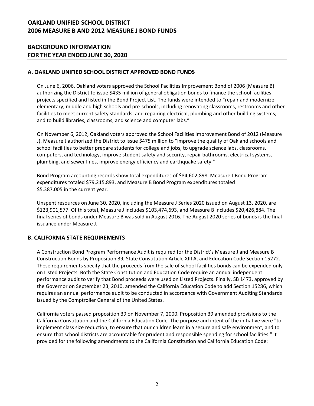#### **BACKGROUND INFORMATION FOR THE YEAR ENDED JUNE 30, 2020**

#### **A. OAKLAND UNIFIED SCHOOL DISTRICT APPROVED BOND FUNDS**

On June 6, 2006, Oakland voters approved the School Facilities Improvement Bond of 2006 (Measure B) authorizing the District to issue \$435 million of general obligation bonds to finance the school facilities projects specified and listed in the Bond Project List. The funds were intended to "repair and modernize elementary, middle and high schools and pre-schools, including renovating classrooms, restrooms and other facilities to meet current safety standards, and repairing electrical, plumbing and other building systems; and to build libraries, classrooms, and science and computer labs."

On November 6, 2012, Oakland voters approved the School Facilities Improvement Bond of 2012 (Measure J). Measure J authorized the District to issue \$475 million to "improve the quality of Oakland schools and school facilities to better prepare students for college and jobs, to upgrade science labs, classrooms, computers, and technology, improve student safety and security, repair bathrooms, electrical systems, plumbing, and sewer lines, improve energy efficiency and earthquake safety."

Bond Program accounting records show total expenditures of \$84,602,898. Measure J Bond Program expenditures totaled \$79,215,893, and Measure B Bond Program expenditures totaled \$5,387,005 in the current year.

Unspent resources on June 30, 2020, including the Measure J Series 2020 issued on August 13, 2020, are \$123,901,577. Of this total, Measure J includes \$103,474,693, and Measure B includes \$20,426,884. The final series of bonds under Measure B was sold in August 2016. The August 2020 series of bonds is the final issuance under Measure J.

#### **B. CALIFORNIA STATE REQUIREMENTS**

A Construction Bond Program Performance Audit is required for the District's Measure J and Measure B Construction Bonds by Proposition 39, State Constitution Article XIII A, and Education Code Section 15272. These requirements specify that the proceeds from the sale of school facilities bonds can be expended only on Listed Projects. Both the State Constitution and Education Code require an annual independent performance audit to verify that Bond proceeds were used on Listed Projects. Finally, SB 1473, approved by the Governor on September 23, 2010, amended the California Education Code to add Section 15286, which requires an annual performance audit to be conducted in accordance with Government Auditing Standards issued by the Comptroller General of the United States.

California voters passed proposition 39 on November 7, 2000. Proposition 39 amended provisions to the California Constitution and the California Education Code. The purpose and intent of the initiative were "to implement class size reduction, to ensure that our children learn in a secure and safe environment, and to ensure that school districts are accountable for prudent and responsible spending for school facilities." It provided for the following amendments to the California Constitution and California Education Code: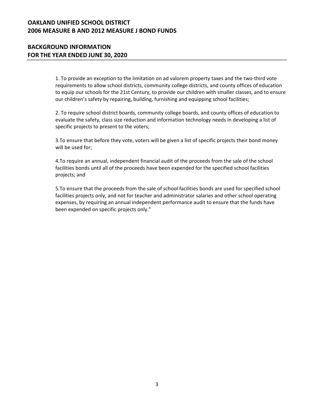#### **BACKGROUND INFORMATION FOR THE YEAR ENDED JUNE 30, 2020**

1. To provide an exception to the limitation on ad valorem property taxes and the two-third vote requirements to allow school districts, community college districts, and county offices of education to equip our schools for the 21st Century, to provide our children with smaller classes, and to ensure our children's safety by repairing, building, furnishing and equipping school facilities;

2. To require school district boards, community college boards, and county offices of education to evaluate the safety, class size reduction and information technology needs in developing a list of specific projects to present to the voters;

3.To ensure that before they vote, voters will be given a list of specific projects their bond money will be used for;

4.To require an annual, independent financial audit of the proceeds from the sale of the school facilities bonds until all of the proceeds have been expended for the specified school facilities projects; and

5.To ensure that the proceeds from the sale of school facilities bonds are used for specified school facilities projects only, and not for teacher and administrator salaries and other school operating expenses, by requiring an annual independent performance audit to ensure that the funds have been expended on specific projects only."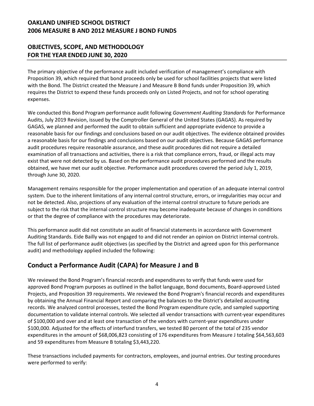### **OBJECTIVES, SCOPE, AND METHODOLOGY FOR THE YEAR ENDED JUNE 30, 2020**

The primary objective of the performance audit included verification of management's compliance with Proposition 39, which required that bond proceeds only be used for school facilities projects that were listed with the Bond. The District created the Measure J and Measure B Bond funds under Proposition 39, which requires the District to expend these funds proceeds only on Listed Projects, and not for school operating expenses.

We conducted this Bond Program performance audit following *Government Auditing Standards* for Performance Audits, July 2019 Revision, issued by the Comptroller General of the United States (GAGAS). As required by GAGAS, we planned and performed the audit to obtain sufficient and appropriate evidence to provide a reasonable basis for our findings and conclusions based on our audit objectives. The evidence obtained provides a reasonable basis for our findings and conclusions based on our audit objectives. Because GAGAS performance audit procedures require reasonable assurance, and these audit procedures did not require a detailed examination of all transactions and activities, there is a risk that compliance errors, fraud, or illegal acts may exist that were not detected by us. Based on the performance audit procedures performed and the results obtained, we have met our audit objective. Performance audit procedures covered the period July 1, 2019, through June 30, 2020.

Management remains responsible for the proper implementation and operation of an adequate internal control system. Due to the inherent limitations of any internal control structure, errors, or irregularities may occur and not be detected. Also, projections of any evaluation of the internal control structure to future periods are subject to the risk that the internal control structure may become inadequate because of changes in conditions or that the degree of compliance with the procedures may deteriorate.

This performance audit did not constitute an audit of financial statements in accordance with Government Auditing Standards. Eide Bailly was not engaged to and did not render an opinion on District internal controls. The full list of performance audit objectives (as specified by the District and agreed upon for this performance audit) and methodology applied included the following:

# **Conduct a Performance Audit (CAPA) for Measure J and B**

We reviewed the Bond Program's financial records and expenditures to verify that funds were used for approved Bond Program purposes as outlined in the ballot language, Bond documents, Board-approved Listed Projects, and Proposition 39 requirements. We reviewed the Bond Program's financial records and expenditures by obtaining the Annual Financial Report and comparing the balances to the District's detailed accounting records. We analyzed control processes, tested the Bond Program expenditure cycle, and sampled supporting documentation to validate internal controls. We selected all vendor transactions with current-year expenditures of \$100,000 and over and at least one transaction of the vendors with current-year expenditures under \$100,000. Adjusted for the effects of interfund transfers, we tested 80 percent of the total of 235 vendor expenditures in the amount of \$68,006,823 consisting of 176 expenditures from Measure J totaling \$64,563,603 and 59 expenditures from Measure B totaling \$3,443,220.

These transactions included payments for contractors, employees, and journal entries. Our testing procedures were performed to verify: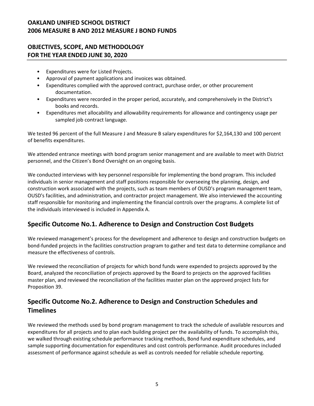#### **OBJECTIVES, SCOPE, AND METHODOLOGY FOR THE YEAR ENDED JUNE 30, 2020**

- Expenditures were for Listed Projects.
- Approval of payment applications and invoices was obtained.
- Expenditures complied with the approved contract, purchase order, or other procurement documentation.
- Expenditures were recorded in the proper period, accurately, and comprehensively in the District's books and records.
- Expenditures met allocability and allowability requirements for allowance and contingency usage per sampled job contract language.

We tested 96 percent of the full Measure J and Measure B salary expenditures for \$2,164,130 and 100 percent of benefits expenditures.

We attended entrance meetings with bond program senior management and are available to meet with District personnel, and the Citizen's Bond Oversight on an ongoing basis.

We conducted interviews with key personnel responsible for implementing the bond program. This included individuals in senior management and staff positions responsible for overseeing the planning, design, and construction work associated with the projects, such as team members of OUSD's program management team, OUSD's facilities, and administration, and contractor project management. We also interviewed the accounting staff responsible for monitoring and implementing the financial controls over the programs. A complete list of the individuals interviewed is included in Appendix A.

# **Specific Outcome No.1. Adherence to Design and Construction Cost Budgets**

We reviewed management's process for the development and adherence to design and construction budgets on bond-funded projects in the facilities construction program to gather and test data to determine compliance and measure the effectiveness of controls.

We reviewed the reconciliation of projects for which bond funds were expended to projects approved by the Board, analyzed the reconciliation of projects approved by the Board to projects on the approved facilities master plan, and reviewed the reconciliation of the facilities master plan on the approved project lists for Proposition 39.

# **Specific Outcome No.2. Adherence to Design and Construction Schedules and Timelines**

We reviewed the methods used by bond program management to track the schedule of available resources and expenditures for all projects and to plan each building project per the availability of funds. To accomplish this, we walked through existing schedule performance tracking methods, Bond fund expenditure schedules, and sample supporting documentation for expenditures and cost controls performance. Audit procedures included assessment of performance against schedule as well as controls needed for reliable schedule reporting.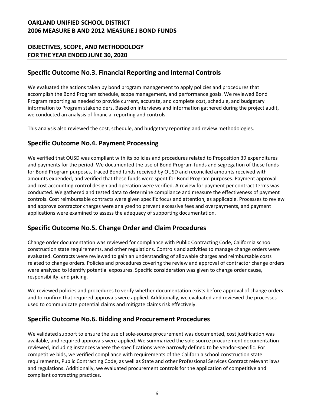### **OBJECTIVES, SCOPE, AND METHODOLOGY FOR THE YEAR ENDED JUNE 30, 2020**

# **Specific Outcome No.3. Financial Reporting and Internal Controls**

We evaluated the actions taken by bond program management to apply policies and procedures that accomplish the Bond Program schedule, scope management, and performance goals. We reviewed Bond Program reporting as needed to provide current, accurate, and complete cost, schedule, and budgetary information to Program stakeholders. Based on interviews and information gathered during the project audit, we conducted an analysis of financial reporting and controls.

This analysis also reviewed the cost, schedule, and budgetary reporting and review methodologies.

### **Specific Outcome No.4. Payment Processing**

We verified that OUSD was compliant with its policies and procedures related to Proposition 39 expenditures and payments for the period. We documented the use of Bond Program funds and segregation of these funds for Bond Program purposes, traced Bond funds received by OUSD and reconciled amounts received with amounts expended, and verified that these funds were spent for Bond Program purposes. Payment approval and cost accounting control design and operation were verified. A review for payment per contract terms was conducted. We gathered and tested data to determine compliance and measure the effectiveness of payment controls. Cost reimbursable contracts were given specific focus and attention, as applicable. Processes to review and approve contractor charges were analyzed to prevent excessive fees and overpayments, and payment applications were examined to assess the adequacy of supporting documentation.

### **Specific Outcome No.5. Change Order and Claim Procedures**

Change order documentation was reviewed for compliance with Public Contracting Code, California school construction state requirements, and other regulations. Controls and activities to manage change orders were evaluated. Contracts were reviewed to gain an understanding of allowable charges and reimbursable costs related to change orders. Policies and procedures covering the review and approval of contractor change orders were analyzed to identify potential exposures. Specific consideration was given to change order cause, responsibility, and pricing.

We reviewed policies and procedures to verify whether documentation exists before approval of change orders and to confirm that required approvals were applied. Additionally, we evaluated and reviewed the processes used to communicate potential claims and mitigate claims risk effectively.

# **Specific Outcome No.6. Bidding and Procurement Procedures**

We validated support to ensure the use of sole-source procurement was documented, cost justification was available, and required approvals were applied. We summarized the sole source procurement documentation reviewed, including instances where the specifications were narrowly defined to be vendor-specific. For competitive bids, we verified compliance with requirements of the California school construction state requirements, Public Contracting Code, as well as State and other Professional Services Contract relevant laws and regulations. Additionally, we evaluated procurement controls for the application of competitive and compliant contracting practices.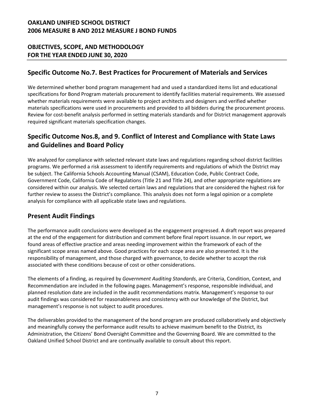### **OBJECTIVES, SCOPE, AND METHODOLOGY FOR THE YEAR ENDED JUNE 30, 2020**

### **Specific Outcome No.7. Best Practices for Procurement of Materials and Services**

We determined whether bond program management had and used a standardized items list and educational specifications for Bond Program materials procurement to identify facilities material requirements. We assessed whether materials requirements were available to project architects and designers and verified whether materials specifications were used in procurements and provided to all bidders during the procurement process. Review for cost-benefit analysis performed in setting materials standards and for District management approvals required significant materials specification changes.

# **Specific Outcome Nos.8, and 9. Conflict of Interest and Compliance with State Laws and Guidelines and Board Policy**

We analyzed for compliance with selected relevant state laws and regulations regarding school district facilities programs. We performed a risk assessment to identify requirements and regulations of which the District may be subject. The California Schools Accounting Manual (CSAM), Education Code, Public Contract Code, Government Code, California Code of Regulations (Title 21 and Title 24), and other appropriate regulations are considered within our analysis. We selected certain laws and regulations that are considered the highest risk for further review to assess the District's compliance. This analysis does not form a legal opinion or a complete analysis for compliance with all applicable state laws and regulations.

### **Present Audit Findings**

The performance audit conclusions were developed as the engagement progressed. A draft report was prepared at the end of the engagement for distribution and comment before final report issuance. In our report, we found areas of effective practice and areas needing improvement within the framework of each of the significant scope areas named above. Good practices for each scope area are also presented. It is the responsibility of management, and those charged with governance, to decide whether to accept the risk associated with these conditions because of cost or other considerations.

The elements of a finding, as required by *Government Auditing Standards*, are Criteria, Condition, Context, and Recommendation are included in the following pages. Management's response, responsible individual, and planned resolution date are included in the audit recommendations matrix. Management's response to our audit findings was considered for reasonableness and consistency with our knowledge of the District, but management's response is not subject to audit procedures.

The deliverables provided to the management of the bond program are produced collaboratively and objectively and meaningfully convey the performance audit results to achieve maximum benefit to the District, its Administration, the Citizens' Bond Oversight Committee and the Governing Board. We are committed to the Oakland Unified School District and are continually available to consult about this report.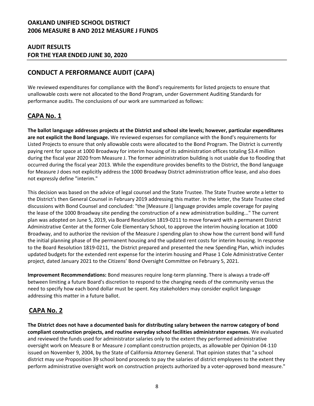#### **AUDIT RESULTS FOR THE YEAR ENDED JUNE 30, 2020**

# **CONDUCT A PERFORMANCE AUDIT (CAPA)**

We reviewed expenditures for compliance with the Bond's requirements for listed projects to ensure that unallowable costs were not allocated to the Bond Program, under Government Auditing Standards for performance audits. The conclusions of our work are summarized as follows:

# **CAPA No. 1**

**The ballot language addresses projects at the District and school site levels; however, particular expenditures are not explicit the Bond language.** We reviewed expenses for compliance with the Bond's requirements for Listed Projects to ensure that only allowable costs were allocated to the Bond Program. The District is currently paying rent for space at 1000 Broadway for interim housing of its administration offices totaling \$3.4 million during the fiscal year 2020 from Measure J. The former administration building is not usable due to flooding that occurred during the fiscal year 2013. While the expenditure provides benefits to the District, the Bond language for Measure J does not explicitly address the 1000 Broadway District administration office lease, and also does not expressly define "interim."

This decision was based on the advice of legal counsel and the State Trustee. The State Trustee wrote a letter to the District's then General Counsel in February 2019 addressing this matter. In the letter, the State Trustee cited discussions with Bond Counsel and concluded: "the [Measure J] language provides ample coverage for paying the lease of the 1000 Broadway site pending the construction of a new administration building..." The current plan was adopted on June 5, 2019, via Board Resolution 1819-0211 to move forward with a permanent District Administrative Center at the former Cole Elementary School, to approve the interim housing location at 1000 Broadway, and to authorize the revision of the Measure J spending plan to show how the current bond will fund the initial planning phase of the permanent housing and the updated rent costs for interim housing. In response to the Board Resolution 1819-0211, the District prepared and presented the new Spending Plan, which includes updated budgets for the extended rent expense for the interim housing and Phase 1 Cole Administrative Center project, dated January 2021 to the Citizens' Bond Oversight Committee on February 5, 2021.

**Improvement Recommendations:** Bond measures require long-term planning. There is always a trade-off between limiting a future Board's discretion to respond to the changing needs of the community versus the need to specify how each bond dollar must be spent. Key stakeholders may consider explicit language addressing this matter in a future ballot.

# **CAPA No. 2**

**The District does not have a documented basis for distributing salary between the narrow category of bond compliant construction projects, and routine everyday school facilities administrator expenses.** We evaluated and reviewed the funds used for administrator salaries only to the extent they performed administrative oversight work on Measure B or Measure J compliant construction projects, as allowable per Opinion 04-110 issued on November 9, 2004, by the State of California Attorney General. That opinion states that "a school district may use Proposition 39 school bond proceeds to pay the salaries of district employees to the extent they perform administrative oversight work on construction projects authorized by a voter-approved bond measure."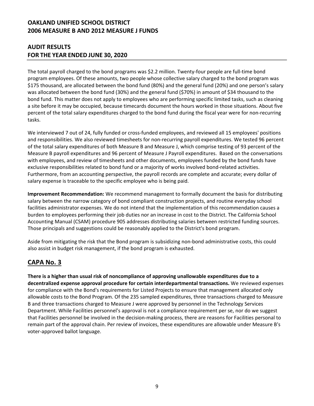### **AUDIT RESULTS FOR THE YEAR ENDED JUNE 30, 2020**

The total payroll charged to the bond programs was \$2.2 million. Twenty-four people are full-time bond program employees. Of these amounts, two people whose collective salary charged to the bond program was \$175 thousand, are allocated between the bond fund (80%) and the general fund (20%) and one person's salary was allocated between the bond fund (30%) and the general fund (\$70%) in amount of \$34 thousand to the bond fund. This matter does not apply to employees who are performing specific limited tasks, such as cleaning a site before it may be occupied, because timecards document the hours worked in those situations. About five percent of the total salary expenditures charged to the bond fund during the fiscal year were for non-recurring tasks.

We interviewed 7 out of 24, fully funded or cross-funded employees, and reviewed all 15 employees' positions and responsibilities. We also reviewed timesheets for non-recurring payroll expenditures. We tested 96 percent of the total salary expenditures of both Measure B and Measure J, which comprise testing of 93 percent of the Measure B payroll expenditures and 96 percent of Measure J Payroll expenditures. Based on the conversations with employees, and review of timesheets and other documents, employees funded by the bond funds have exclusive responsibilities related to bond fund or a majority of works involved bond-related activities. Furthermore, from an accounting perspective, the payroll records are complete and accurate; every dollar of salary expense is traceable to the specific employee who is being paid.

**Improvement Recommendation:** We recommend management to formally document the basis for distributing salary between the narrow category of bond compliant construction projects, and routine everyday school facilities administrator expenses. We do not intend that the implementation of this recommendation causes a burden to employees performing their job duties nor an increase in cost to the District. The California School Accounting Manual (CSAM) procedure 905 addresses distributing salaries between restricted funding sources. Those principals and suggestions could be reasonably applied to the District's bond program.

Aside from mitigating the risk that the Bond program is subsidizing non-bond administrative costs, this could also assist in budget risk management, if the bond program is exhausted.

# **CAPA No. 3**

**There is a higher than usual risk of noncompliance of approving unallowable expenditures due to a decentralized expense approval procedure for certain interdepartmental transactions.** We reviewed expenses for compliance with the Bond's requirements for Listed Projects to ensure that management allocated only allowable costs to the Bond Program. Of the 235 sampled expenditures, three transactions charged to Measure B and three transactions charged to Measure J were approved by personnel in the Technology Services Department. While Facilities personnel's approval is not a compliance requirement per se, nor do we suggest that Facilities personnel be involved in the decision-making process, there are reasons for Facilities personal to remain part of the approval chain. Per review of invoices, these expenditures are allowable under Measure B's voter-approved ballot language.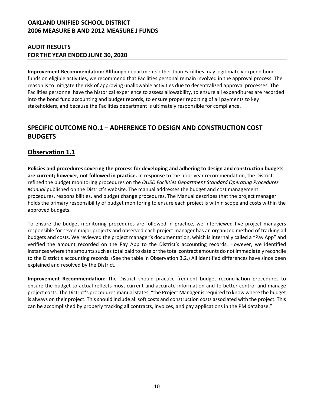#### **AUDIT RESULTS FOR THE YEAR ENDED JUNE 30, 2020**

**Improvement Recommendation:** Although departments other than Facilities may legitimately expend bond funds on eligible activities, we recommend that Facilities personal remain involved in the approval process. The reason is to mitigate the risk of approving unallowable activities due to decentralized approval processes. The Facilities personnel have the historical experience to assess allowability, to ensure all expenditures are recorded into the bond fund accounting and budget records, to ensure proper reporting of all payments to key stakeholders, and because the Facilities department is ultimately responsible for compliance.

# **SPECIFIC OUTCOME NO.1 – ADHERENCE TO DESIGN AND CONSTRUCTION COST BUDGETS**

### **Observation 1.1**

**Policies and procedures covering the process for developing and adhering to design and construction budgets are current; however, not followed in practice.** In response to the prior year recommendation, the District refined the budget monitoring procedures on the *OUSD Facilities Department Standard Operating Procedures Manual* published on the District's website. The manual addresses the budget and cost management procedures, responsibilities, and budget change procedures. The Manual describes that the project manager holds the primary responsibility of budget monitoring to ensure each project is within scope and costs within the approved budgets.

To ensure the budget monitoring procedures are followed in practice, we interviewed five project managers responsible for seven major projects and observed each project manager has an organized method of tracking all budgets and costs. We reviewed the project manager's documentation, which is internally called a "Pay App" and verified the amount recorded on the Pay App to the District's accounting records. However, we identified instances where the amounts such as total paid to date or the total contract amounts do not immediately reconcile to the District's accounting records. (See the table in Observation 3.2.) All identified differences have since been explained and resolved by the District.

**Improvement Recommendation:** The District should practice frequent budget reconciliation procedures to ensure the budget to actual reflects most current and accurate information and to better control and manage project costs. The District's procedures manual states, "the Project Manager is required to know where the budget is always on their project. This should include all soft costs and construction costs associated with the project. This can be accomplished by properly tracking all contracts, invoices, and pay applications in the PM database."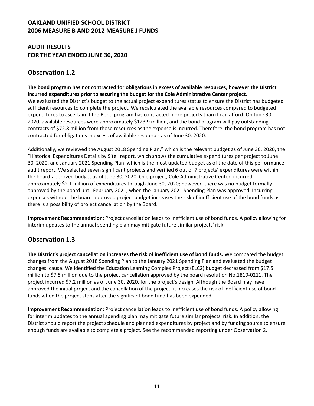#### **AUDIT RESULTS FOR THE YEAR ENDED JUNE 30, 2020**

# **Observation 1.2**

**The bond program has not contracted for obligations in excess of available resources, however the District incurred expenditures prior to securing the budget for the Cole Administrative Center project.** We evaluated the District's budget to the actual project expenditures status to ensure the District has budgeted sufficient resources to complete the project. We recalculated the available resources compared to budgeted expenditures to ascertain if the Bond program has contracted more projects than it can afford. On June 30, 2020, available resources were approximately \$123.9 million, and the bond program will pay outstanding contracts of \$72.8 million from those resources as the expense is incurred. Therefore, the bond program has not contracted for obligations in excess of available resources as of June 30, 2020.

Additionally, we reviewed the August 2018 Spending Plan," which is the relevant budget as of June 30, 2020, the "Historical Expenditures Details by Site" report, which shows the cumulative expenditures per project to June 30, 2020, and January 2021 Spending Plan, which is the most updated budget as of the date of this performance audit report. We selected seven significant projects and verified 6 out of 7 projects' expenditures were within the board-approved budget as of June 30, 2020. One project, Cole Administrative Center, incurred approximately \$2.1 million of expenditures through June 30, 2020; however, there was no budget formally approved by the board until February 2021, when the January 2021 Spending Plan was approved. Incurring expenses without the board-approved project budget increases the risk of inefficient use of the bond funds as there is a possibility of project cancellation by the Board.

**Improvement Recommendation**: Project cancellation leads to inefficient use of bond funds. A policy allowing for interim updates to the annual spending plan may mitigate future similar projects' risk.

# **Observation 1.3**

**The District's project cancellation increases the risk of inefficient use of bond funds.** We compared the budget changes from the August 2018 Spending Plan to the January 2021 Spending Plan and evaluated the budget changes' cause. We identified the Education Learning Complex Project (ELC2) budget decreased from \$17.5 million to \$7.5 million due to the project cancellation approved by the board resolution No.1819-0211. The project incurred \$7.2 million as of June 30, 2020, for the project's design. Although the Board may have approved the initial project and the cancellation of the project, it increases the risk of inefficient use of bond funds when the project stops after the significant bond fund has been expended.

**Improvement Recommendation:** Project cancellation leads to inefficient use of bond funds. A policy allowing for interim updates to the annual spending plan may mitigate future similar projects' risk. In addition, the District should report the project schedule and planned expenditures by project and by funding source to ensure enough funds are available to complete a project. See the recommended reporting under Observation 2.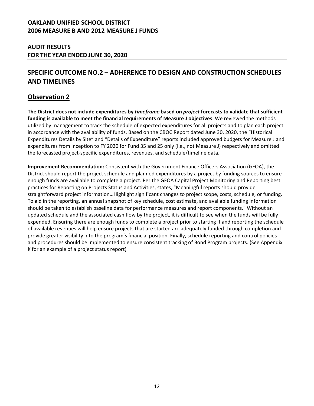#### **AUDIT RESULTS FOR THE YEAR ENDED JUNE 30, 2020**

# **SPECIFIC OUTCOME NO.2 – ADHERENCE TO DESIGN AND CONSTRUCTION SCHEDULES AND TIMELINES**

### **Observation 2**

**The District does not include expenditures by** *timeframe* **based on** *project* **forecasts to validate that sufficient funding is available to meet the financial requirements of Measure J objectives**. We reviewed the methods utilized by management to track the schedule of expected expenditures for all projects and to plan each project in accordance with the availability of funds. Based on the CBOC Report dated June 30, 2020, the "Historical Expenditures Details by Site" and "Details of Expenditure" reports included approved budgets for Measure J and expenditures from inception to FY 2020 for Fund 35 and 25 only (i.e., not Measure J) respectively and omitted the forecasted project-specific expenditures, revenues, and schedule/timeline data.

**Improvement Recommendation:** Consistent with the Government Finance Officers Association (GFOA), the District should report the project schedule and planned expenditures by a project by funding sources to ensure enough funds are available to complete a project. Per the GFOA Capital Project Monitoring and Reporting best practices for Reporting on Projects Status and Activities, states, "Meaningful reports should provide straightforward project information…Highlight significant changes to project scope, costs, schedule, or funding. To aid in the reporting, an annual snapshot of key schedule, cost estimate, and available funding information should be taken to establish baseline data for performance measures and report components." Without an updated schedule and the associated cash flow by the project, it is difficult to see when the funds will be fully expended. Ensuring there are enough funds to complete a project prior to starting it and reporting the schedule of available revenues will help ensure projects that are started are adequately funded through completion and provide greater visibility into the program's financial position. Finally, schedule reporting and control policies and procedures should be implemented to ensure consistent tracking of Bond Program projects. (See Appendix K for an example of a project status report)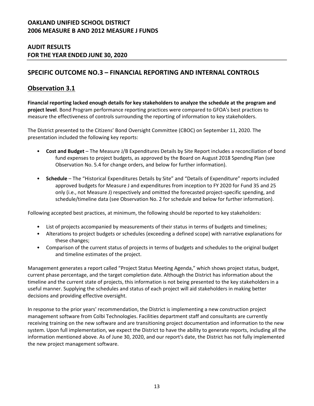#### **AUDIT RESULTS FOR THE YEAR ENDED JUNE 30, 2020**

### **SPECIFIC OUTCOME NO.3 – FINANCIAL REPORTING AND INTERNAL CONTROLS**

### **Observation 3.1**

**Financial reporting lacked enough details for key stakeholders to analyze the schedule at the program and project level**. Bond Program performance reporting practices were compared to GFOA's best practices to measure the effectiveness of controls surrounding the reporting of information to key stakeholders.

The District presented to the Citizens' Bond Oversight Committee (CBOC) on September 11, 2020. The presentation included the following key reports:

- **Cost and Budget** The Measure J/B Expenditures Details by Site Report includes a reconciliation of bond fund expenses to project budgets, as approved by the Board on August 2018 Spending Plan (see Observation No. 5.4 for change orders, and below for further information).
- **Schedule** The "Historical Expenditures Details by Site" and "Details of Expenditure" reports included approved budgets for Measure J and expenditures from inception to FY 2020 for Fund 35 and 25 only (i.e., not Measure J) respectively and omitted the forecasted project-specific spending, and schedule/timeline data (see Observation No. 2 for schedule and below for further information).

Following accepted best practices, at minimum, the following should be reported to key stakeholders:

- List of projects accompanied by measurements of their status in terms of budgets and timelines;
- Alterations to project budgets or schedules (exceeding a defined scope) with narrative explanations for these changes;
- Comparison of the current status of projects in terms of budgets and schedules to the original budget and timeline estimates of the project.

Management generates a report called "Project Status Meeting Agenda," which shows project status, budget, current phase percentage, and the target completion date. Although the District has information about the timeline and the current state of projects, this information is not being presented to the key stakeholders in a useful manner. Supplying the schedules and status of each project will aid stakeholders in making better decisions and providing effective oversight.

In response to the prior years' recommendation, the District is implementing a new construction project management software from Colbi Technologies. Facilities department staff and consultants are currently receiving training on the new software and are transitioning project documentation and information to the new system. Upon full implementation, we expect the District to have the ability to generate reports, including all the information mentioned above. As of June 30, 2020, and our report's date, the District has not fully implemented the new project management software.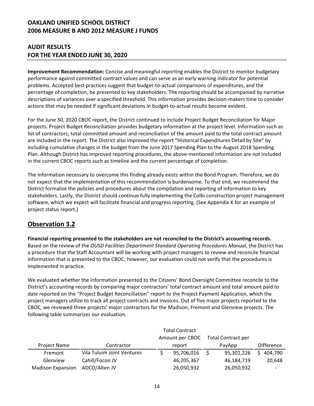### **AUDIT RESULTS FOR THE YEAR ENDED JUNE 30, 2020**

**Improvement Recommendation:** Concise and meaningful reporting enables the District to monitor budgetary performance against committed contract values and can serve as an early warning indicator for potential problems. Accepted best practices suggest that budget-to-actual comparisons of expenditures, and the percentage of completion, be presented to key stakeholders. The reporting should be accompanied by narrative descriptions of variances over a specified threshold. This information provides decision-makers time to consider actions that may be needed if significant deviations in budget-to-actual results become evident.

For the June 30, 2020 CBOC report, the District continued to include Project Budget Reconciliation for Major projects. Project Budget Reconciliation provides budgetary information at the project level. Information such as list of contractors, total committed amount and reconciliation of the amount paid to the total contract amount are included in the report. The District also improved the report "Historical Expenditures Detail by Site" by including cumulative changes in the budget from the June 2017 Spending Plan to the August 2018 Spending Plan. Although District has improved reporting procedures, the above-mentioned information are not included in the current CBOC reports such as timeline and the current percentage of completion.

The information necessary to overcome this finding already exists within the Bond Program. Therefore, we do not expect that the implementation of this recommendation is burdensome. To that end, we recommend the District formalize the policies and procedures about the compilation and reporting of information to key stakeholders. Lastly, the District should continue fully implementing the Colbi construction project management software, which we expect will facilitate financial and progress reporting. (See Appendix K for an example of project status report.)

# **Observation 3.2**

**Financial reporting presented to the stakeholders are not reconciled to the District's accounting records.**  Based on the review of the *OUSD Facilities Department Standard Operating Procedures Manual*, the District has a procedure that the Staff Accountant will be working with project managers to review and reconcile financial information that is presented to the CBOC; however, our evaluation could not verify that the procedures is implemented in practice.

We evaluated whether the information presented to the Citizens' Bond Oversight Committee reconcile to the District's accounting records by comparing major contractors' total contract amount and total amount paid to date reported on the "Project Budget Reconciliation" report to the Project Payment Application, which the project managers utilize to track all project contracts and invoices. Out of five major projects reported to the CBOC, we reviewed three projects' major contractors for the Madison, Fremont and Glenview projects. The following table summarizes our evaluation.

|                          |                            |        | Amount per CBOC |  | <b>Total Contract per</b> |                   |
|--------------------------|----------------------------|--------|-----------------|--|---------------------------|-------------------|
| <b>Project Name</b>      | Contractor                 | report |                 |  | PayApp                    | <b>Difference</b> |
| Fremont                  | Vila Tuluim Joint Ventures |        | 95,706,016      |  | 95,301,226                | 404,790           |
| Glenview                 | Cahill/Focon JV            |        | 46,205,367      |  | 46,184,719                | 20,648            |
| <b>Madison Expansion</b> | ADCO/Alten JV              |        | 26,050,932      |  | 26,050,932                |                   |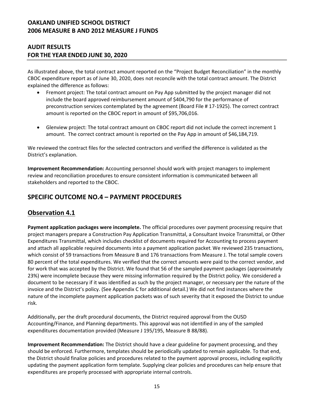#### **AUDIT RESULTS FOR THE YEAR ENDED JUNE 30, 2020**

As illustrated above, the total contract amount reported on the "Project Budget Reconciliation" in the monthly CBOC expenditure report as of June 30, 2020, does not reconcile with the total contract amount. The District explained the difference as follows:

- Fremont project: The total contract amount on Pay App submitted by the project manager did not include the board approved reimbursement amount of \$404,790 for the performance of preconstruction services contemplated by the agreement (Board File # 17-1925). The correct contract amount is reported on the CBOC report in amount of \$95,706,016.
- Glenview project: The total contract amount on CBOC report did not include the correct increment 1 amount. The correct contract amount is reported on the Pay App in amount of \$46,184,719.

We reviewed the contract files for the selected contractors and verified the difference is validated as the District's explanation.

**Improvement Recommendation:** Accounting personnel should work with project managers to implement review and reconciliation procedures to ensure consistent information is communicated between all stakeholders and reported to the CBOC.

### **SPECIFIC OUTCOME NO.4 – PAYMENT PROCEDURES**

# **Observation 4.1**

**Payment application packages were incomplete.** The official procedures over payment processing require that project managers prepare a Construction Pay Application Transmittal, a Consultant Invoice Transmittal, or Other Expenditures Transmittal, which includes checklist of documents required for Accounting to process payment and attach all applicable required documents into a payment application packet. We reviewed 235 transactions, which consist of 59 transactions from Measure B and 176 transactions from Measure J. The total sample covers 80 percent of the total expenditures. We verified that the correct amounts were paid to the correct vendor, and for work that was accepted by the District. We found that 56 of the sampled payment packages (approximately 23%) were incomplete because they were missing information required by the District policy. We considered a document to be necessary if it was identified as such by the project manager, or necessary per the nature of the invoice and the District's policy. (See Appendix C for additional detail.) We did not find instances where the nature of the incomplete payment application packets was of such severity that it exposed the District to undue risk.

Additionally, per the draft procedural documents, the District required approval from the OUSD Accounting/Finance, and Planning departments. This approval was not identified in any of the sampled expenditures documentation provided (Measure J 195/195, Measure B 88/88).

**Improvement Recommendation:** The District should have a clear guideline for payment processing, and they should be enforced. Furthermore, templates should be periodically updated to remain applicable. To that end, the District should finalize policies and procedures related to the payment approval process, including explicitly updating the payment application form template. Supplying clear policies and procedures can help ensure that expenditures are properly processed with appropriate internal controls.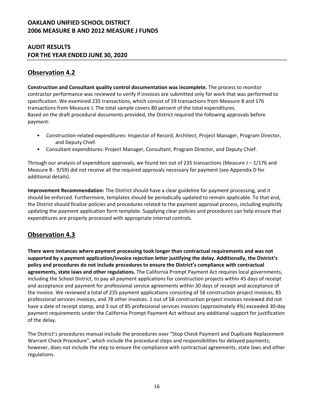#### **AUDIT RESULTS FOR THE YEAR ENDED JUNE 30, 2020**

# **Observation 4.2**

**Construction and Consultant quality control documentation was incomplete.** The process to monitor contractor performance was reviewed to verify if invoices are submitted only for work that was performed to specification. We examined 235 transactions, which consist of 59 transactions from Measure B and 176 transactions from Measure J. The total sample covers 80 percent of the total expenditures. Based on the draft procedural documents provided, the District required the following approvals before payment:

- Construction-related expenditures: Inspector of Record, Architect, Project Manager, Program Director, and Deputy Chief.
- Consultant expenditures: Project Manager, Consultant, Program Director, and Deputy Chief.

Through our analysis of expenditure approvals, we found ten out of 235 transactions (Measure  $J - 1/176$  and Measure B - 9/59) did not receive all the required approvals necessary for payment (see Appendix D for additional details).

**Improvement Recommendation:** The District should have a clear guideline for payment processing, and it should be enforced. Furthermore, templates should be periodically updated to remain applicable. To that end, the District should finalize policies and procedures related to the payment approval process, including explicitly updating the payment application form template. Supplying clear policies and procedures can help ensure that expenditures are properly processed with appropriate internal controls.

# **Observation 4.3**

**There were instances where payment processing took longer than contractual requirements and was not supported by a payment application/invoice rejection letter justifying the delay. Additionally, the District's policy and procedures do not include procedures to ensure the District's compliance with contractual agreements, state laws and other regulations.** The California Prompt Payment Act requires local governments, including the School District, to pay all payment applications for construction projects within 45 days of receipt and acceptance and payment for professional service agreements within 30 days of receipt and acceptance of the invoice. We reviewed a total of 235 payment applications consisting of 58 construction project invoices, 85 professional services invoices, and 78 other invoices. 1 out of 58 construction project invoices reviewed did not have a date of receipt stamp, and 3 out of 85 professional services invoices (approximately 4%) exceeded 30-day payment requirements under the California Prompt Payment Act without any additional support for justification of the delay.

The District's procedures manual include the procedures over "Stop Check Payment and Duplicate Replacement Warrant Check Procedure", which include the procedural steps and responsibilities for delayed payments; however, does not include the step to ensure the compliance with contractual agreements, state laws and other regulations.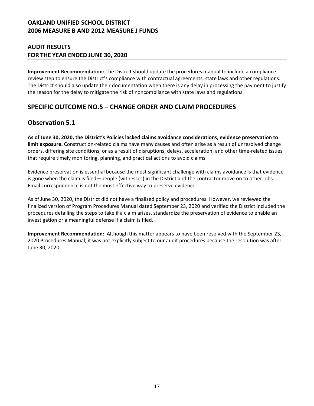#### **AUDIT RESULTS FOR THE YEAR ENDED JUNE 30, 2020**

**Improvement Recommendation:** The District should update the procedures manual to include a compliance review step to ensure the District's compliance with contractual agreements, state laws and other regulations. The District should also update their documentation when there is any delay in processing the payment to justify the reason for the delay to mitigate the risk of noncompliance with state laws and regulations.

# **SPECIFIC OUTCOME NO.5 – CHANGE ORDER AND CLAIM PROCEDURES**

# **Observation 5.1**

**As of June 30, 2020, the District's Policies lacked claims avoidance considerations, evidence preservation to limit exposure.** Construction-related claims have many causes and often arise as a result of unresolved change orders, differing site conditions, or as a result of disruptions, delays, acceleration, and other time-related issues that require timely monitoring, planning, and practical actions to avoid claims.

Evidence preservation is essential because the most significant challenge with claims avoidance is that evidence is gone when the claim is filed—people (witnesses) in the District and the contractor move on to other jobs. Email correspondence is not the most effective way to preserve evidence.

As of June 30, 2020, the District did not have a finalized policy and procedures. However, we reviewed the finalized version of Program Procedures Manual dated September 23, 2020 and verified the District included the procedures detailing the steps to take if a claim arises, standardize the preservation of evidence to enable an investigation or a meaningful defense if a claim is filed.

**Improvement Recommendation:** Although this matter appears to have been resolved with the September 23, 2020 Procedures Manual, it was not explicitly subject to our audit procedures because the resolution was after June 30, 2020.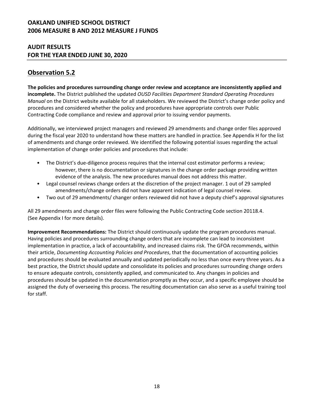#### **AUDIT RESULTS FOR THE YEAR ENDED JUNE 30, 2020**

# **Observation 5.2**

**The policies and procedures surrounding change order review and acceptance are inconsistently applied and incomplete.** The District published the updated *OUSD Facilities Department Standard Operating Procedures Manual* on the District website available for all stakeholders. We reviewed the District's change order policy and procedures and considered whether the policy and procedures have appropriate controls over Public Contracting Code compliance and review and approval prior to issuing vendor payments.

Additionally, we interviewed project managers and reviewed 29 amendments and change order files approved during the fiscal year 2020 to understand how these matters are handled in practice. See Appendix H for the list of amendments and change order reviewed. We identified the following potential issues regarding the actual implementation of change order policies and procedures that include:

- The District's due-diligence process requires that the internal cost estimator performs a review; however, there is no documentation or signatures in the change order package providing written evidence of the analysis. The new procedures manual does not address this matter.
- Legal counsel reviews change orders at the discretion of the project manager. 1 out of 29 sampled amendments/change orders did not have apparent indication of legal counsel review.
- Two out of 29 amendments/ changer orders reviewed did not have a deputy chief's approval signatures

All 29 amendments and change order files were following the Public Contracting Code section 20118.4. (See Appendix I for more details).

**Improvement Recommendations:** The District should continuously update the program procedures manual. Having policies and procedures surrounding change orders that are incomplete can lead to inconsistent implementation in practice, a lack of accountability, and increased claims risk. The GFOA recommends, within their article, *Documenting Accounting Policies and Procedures*, that the documentation of accounting policies and procedures should be evaluated annually and updated periodically no less than once every three years. As a best practice, the District should update and consolidate its policies and procedures surrounding change orders to ensure adequate controls, consistently applied, and communicated to. Any changes in policies and procedures should be updated in the documentation promptly as they occur, and a specific employee should be assigned the duty of overseeing this process. The resulting documentation can also serve as a useful training tool for staff.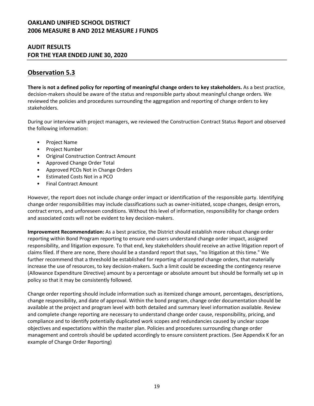#### **AUDIT RESULTS FOR THE YEAR ENDED JUNE 30, 2020**

# **Observation 5.3**

**There is not a defined policy for reporting of meaningful change orders to key stakeholders.** As a best practice, decision-makers should be aware of the status and responsible party about meaningful change orders. We reviewed the policies and procedures surrounding the aggregation and reporting of change orders to key stakeholders.

During our interview with project managers, we reviewed the Construction Contract Status Report and observed the following information:

- Project Name
- Project Number
- Original Construction Contract Amount
- Approved Change Order Total
- Approved PCOs Not in Change Orders
- Estimated Costs Not in a PCO
- Final Contract Amount

However, the report does not include change order impact or identification of the responsible party. Identifying change order responsibilities may include classifications such as owner-initiated, scope changes, design errors, contract errors, and unforeseen conditions. Without this level of information, responsibility for change orders and associated costs will not be evident to key decision-makers.

**Improvement Recommendation:** As a best practice, the District should establish more robust change order reporting within Bond Program reporting to ensure end-users understand change order impact, assigned responsibility, and litigation exposure. To that end, key stakeholders should receive an active litigation report of claims filed. If there are none, there should be a standard report that says, "no litigation at this time." We further recommend that a threshold be established for reporting of *accepted* change orders, that materially increase the use of resources, to key decision-makers. Such a limit could be exceeding the contingency reserve (Allowance Expenditure Directive) amount by a percentage or absolute amount but should be formally set up in policy so that it may be consistently followed.

Change order reporting should include information such as itemized change amount, percentages, descriptions, change responsibility, and date of approval. Within the bond program, change order documentation should be available at the project and program level with both detailed and summary level information available. Review and complete change reporting are necessary to understand change order cause, responsibility, pricing, and compliance and to identify potentially duplicated work scopes and redundancies caused by unclear scope objectives and expectations within the master plan. Policies and procedures surrounding change order management and controls should be updated accordingly to ensure consistent practices. (See Appendix K for an example of Change Order Reporting)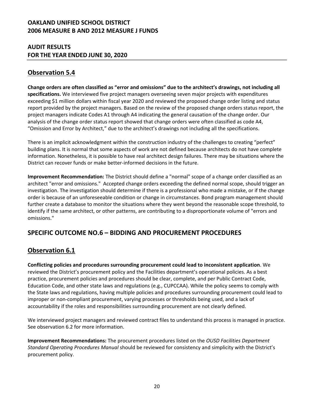#### **AUDIT RESULTS FOR THE YEAR ENDED JUNE 30, 2020**

# **Observation 5.4**

**Change orders are often classified as "error and omissions" due to the architect's drawings, not including all specifications.** We interviewed five project managers overseeing seven major projects with expenditures exceeding \$1 million dollars within fiscal year 2020 and reviewed the proposed change order listing and status report provided by the project managers. Based on the review of the proposed change orders status report, the project managers indicate Codes A1 through A4 indicating the general causation of the change order. Our analysis of the change order status report showed that change orders were often classified as code A4, "Omission and Error by Architect," due to the architect's drawings not including all the specifications.

There is an implicit acknowledgment within the construction industry of the challenges to creating "perfect" building plans. It is normal that some aspects of work are not defined because architects do not have complete information. Nonetheless, it is possible to have real architect design failures. There may be situations where the District can recover funds or make better-informed decisions in the future.

**Improvement Recommendation:** The District should define a "normal" scope of a change order classified as an architect "error and omissions." Accepted change orders exceeding the defined normal scope, should trigger an investigation. The investigation should determine if there is a professional who made a mistake, or if the change order is because of an unforeseeable condition or change in circumstances. Bond program management should further create a database to monitor the situations where they went beyond the reasonable scope threshold, to identify if the same architect, or other patterns, are contributing to a disproportionate volume of "errors and omissions."

# **SPECIFIC OUTCOME NO.6 – BIDDING AND PROCUREMENT PROCEDURES**

# **Observation 6.1**

**Conflicting policies and procedures surrounding procurement could lead to inconsistent application**. We reviewed the District's procurement policy and the Facilities department's operational policies. As a best practice, procurement policies and procedures should be clear, complete, and per Public Contract Code, Education Code, and other state laws and regulations (e.g., CUPCCAA). While the policy seems to comply with the State laws and regulations, having multiple policies and procedures surrounding procurement could lead to improper or non-compliant procurement, varying processes or thresholds being used, and a lack of accountability if the roles and responsibilities surrounding procurement are not clearly defined.

We interviewed project managers and reviewed contract files to understand this process is managed in practice. See observation 6.2 for more information.

**Improvement Recommendations:** The procurement procedures listed on the *OUSD Facilities Department Standard Operating Procedures Manual* should be reviewed for consistency and simplicity with the District's procurement policy.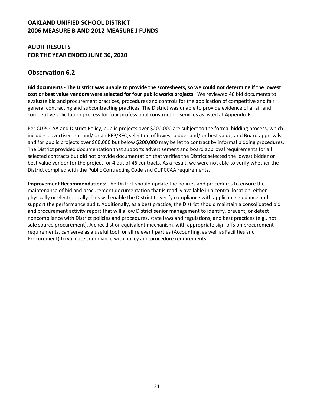#### **AUDIT RESULTS FOR THE YEAR ENDED JUNE 30, 2020**

# **Observation 6.2**

**Bid documents - The District was unable to provide the scoresheets, so we could not determine if the lowest cost or best value vendors were selected for four public works projects.** We reviewed 46 bid documents to evaluate bid and procurement practices, procedures and controls for the application of competitive and fair general contracting and subcontracting practices. The District was unable to provide evidence of a fair and competitive solicitation process for four professional construction services as listed at Appendix F.

Per CUPCCAA and District Policy, public projects over \$200,000 are subject to the formal bidding process, which includes advertisement and/ or an RFP/RFQ selection of lowest bidder and/ or best value, and Board approvals, and for public projects over \$60,000 but below \$200,000 may be let to contract by informal bidding procedures. The District provided documentation that supports advertisement and board approval requirements for all selected contracts but did not provide documentation that verifies the District selected the lowest bidder or best value vendor for the project for 4 out of 46 contracts. As a result, we were not able to verify whether the District complied with the Public Contracting Code and CUPCCAA requirements.

**Improvement Recommendations:** The District should update the policies and procedures to ensure the maintenance of bid and procurement documentation that is readily available in a central location, either physically or electronically. This will enable the District to verify compliance with applicable guidance and support the performance audit. Additionally, as a best practice, the District should maintain a consolidated bid and procurement activity report that will allow District senior management to identify, prevent, or detect noncompliance with District policies and procedures, state laws and regulations, and best practices (e.g., not sole source procurement). A checklist or equivalent mechanism, with appropriate sign-offs on procurement requirements, can serve as a useful tool for all relevant parties (Accounting, as well as Facilities and Procurement) to validate compliance with policy and procedure requirements.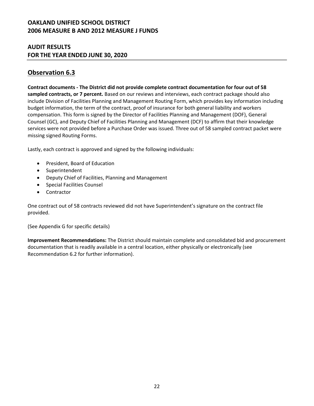#### **AUDIT RESULTS FOR THE YEAR ENDED JUNE 30, 2020**

# **Observation 6.3**

**Contract documents - The District did not provide complete contract documentation for four out of 58 sampled contracts, or 7 percent.** Based on our reviews and interviews, each contract package should also include Division of Facilities Planning and Management Routing Form, which provides key information including budget information, the term of the contract, proof of insurance for both general liability and workers compensation. This form is signed by the Director of Facilities Planning and Management (DOF), General Counsel (GC), and Deputy Chief of Facilities Planning and Management (DCF) to affirm that their knowledge services were not provided before a Purchase Order was issued. Three out of 58 sampled contract packet were missing signed Routing Forms.

Lastly, each contract is approved and signed by the following individuals:

- President, Board of Education
- Superintendent
- Deputy Chief of Facilities, Planning and Management
- Special Facilities Counsel
- Contractor

One contract out of 58 contracts reviewed did not have Superintendent's signature on the contract file provided.

(See Appendix G for specific details)

**Improvement Recommendations:** The District should maintain complete and consolidated bid and procurement documentation that is readily available in a central location, either physically or electronically (see Recommendation 6.2 for further information).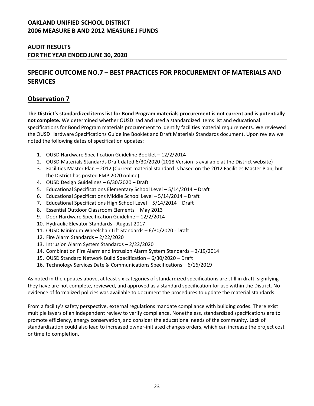#### **AUDIT RESULTS FOR THE YEAR ENDED JUNE 30, 2020**

# **SPECIFIC OUTCOME NO.7 – BEST PRACTICES FOR PROCUREMENT OF MATERIALS AND SERVICES**

### **Observation 7**

**The District's standardized items list for Bond Program materials procurement is not current and is potentially not complete.** We determined whether OUSD had and used a standardized items list and educational specifications for Bond Program materials procurement to identify facilities material requirements. We reviewed the OUSD Hardware Specifications Guideline Booklet and Draft Materials Standards document. Upon review we noted the following dates of specification updates:

- 1. OUSD Hardware Specification Guideline Booklet 12/2/2014
- 2. OUSD Materials Standards Draft dated 6/30/2020 (2018 Version is available at the District website)
- 3. Facilities Master Plan 2012 (Current material standard is based on the 2012 Facilities Master Plan, but the District has posted FMP 2020 online)
- 4. OUSD Design Guidelines 6/30/2020 Draft
- 5. Educational Specifications Elementary School Level 5/14/2014 Draft
- 6. Educational Specifications Middle School Level 5/14/2014 Draft
- 7. Educational Specifications High School Level 5/14/2014 Draft
- 8. Essential Outdoor Classroom Elements May 2013
- 9. Door Hardware Specification Guideline 12/2/2014
- 10. Hydraulic Elevator Standards August 2017
- 11. OUSD Minimum Wheelchair Lift Standards 6/30/2020 Draft
- 12. Fire Alarm Standards 2/22/2020
- 13. Intrusion Alarm System Standards 2/22/2020
- 14. Combination Fire Alarm and Intrusion Alarm System Standards 3/19/2014
- 15. OUSD Standard Network Build Specification 6/30/2020 Draft
- 16. Technology Services Date & Communications Specifications 6/16/2019

As noted in the updates above, at least six categories of standardized specifications are still in draft, signifying they have are not complete, reviewed, and approved as a standard specification for use within the District. No evidence of formalized policies was available to document the procedures to update the material standards.

From a facility's safety perspective, external regulations mandate compliance with building codes. There exist multiple layers of an independent review to verify compliance. Nonetheless, standardized specifications are to promote efficiency, energy conservation, and consider the educational needs of the community. Lack of standardization could also lead to increased owner-initiated changes orders, which can increase the project cost or time to completion.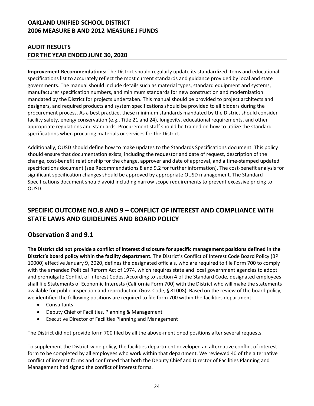### **AUDIT RESULTS FOR THE YEAR ENDED JUNE 30, 2020**

**Improvement Recommendations:** The District should regularly update its standardized items and educational specifications list to accurately reflect the most current standards and guidance provided by local and state governments. The manual should include details such as material types, standard equipment and systems, manufacturer specification numbers, and minimum standards for new construction and modernization mandated by the District for projects undertaken. This manual should be provided to project architects and designers, and required products and system specifications should be provided to all bidders during the procurement process. As a best practice, these minimum standards mandated by the District should consider facility safety, energy conservation (e.g., Title 21 and 24), longevity, educational requirements, and other appropriate regulations and standards. Procurement staff should be trained on how to utilize the standard specifications when procuring materials or services for the District.

Additionally, OUSD should define how to make updates to the Standards Specifications document. This policy should ensure that documentation exists, including the requestor and date of request, description of the change, cost-benefit relationship for the change, approver and date of approval, and a time-stamped updated specifications document (see Recommendations 8 and 9.2 for further information). The cost-benefit analysis for significant specification changes should be approved by appropriate OUSD management. The Standard Specifications document should avoid including narrow scope requirements to prevent excessive pricing to OUSD.

# **SPECIFIC OUTCOME NO.8 AND 9 – CONFLICT OF INTEREST AND COMPLIANCE WITH STATE LAWS AND GUIDELINES AND BOARD POLICY**

# **Observation 8 and 9.1**

**The District did not provide a conflict of interest disclosure for specific management positions defined in the District's board policy within the facility department.** The District's Conflict of Interest Code Board Policy (BP 10000) effective January 9, 2020, defines the designated officials, who are required to file Form 700 to comply with the amended Political Reform Act of 1974, which requires state and local government agencies to adopt and promulgate Conflict of Interest Codes. According to section 4 of the Standard Code, designated employees shall file Statements of Economic Interests (California Form 700) with the District who will make the statements available for public inspection and reproduction (Gov. Code, § 81008). Based on the review of the board policy, we identified the following positions are required to file form 700 within the facilities department:

- Consultants
- Deputy Chief of Facilities, Planning & Management
- Executive Director of Facilities Planning and Management

The District did not provide form 700 filed by all the above-mentioned positions after several requests.

To supplement the District-wide policy, the facilities department developed an alternative conflict of interest form to be completed by all employees who work within that department. We reviewed 40 of the alternative conflict of interest forms and confirmed that both the Deputy Chief and Director of Facilities Planning and Management had signed the conflict of interest forms.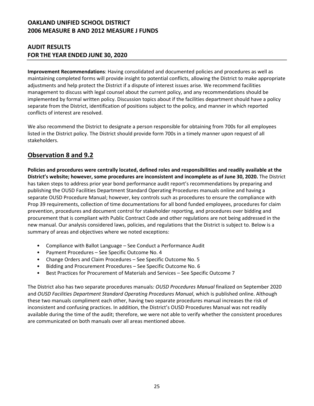#### **AUDIT RESULTS FOR THE YEAR ENDED JUNE 30, 2020**

**Improvement Recommendations**: Having consolidated and documented policies and procedures as well as maintaining completed forms will provide insight to potential conflicts, allowing the District to make appropriate adjustments and help protect the District if a dispute of interest issues arise. We recommend facilities management to discuss with legal counsel about the current policy, and any recommendations should be implemented by formal written policy. Discussion topics about if the facilities department should have a policy separate from the District, identification of positions subject to the policy, and manner in which reported conflicts of interest are resolved.

We also recommend the District to designate a person responsible for obtaining from 700s for all employees listed in the District policy. The District should provide form 700s in a timely manner upon request of all stakeholders.

# **Observation 8 and 9.2**

**Policies and procedures were centrally located, defined roles and responsibilities and readily available at the District's website; however, some procedures are inconsistent and incomplete as of June 30, 2020.** The District has taken steps to address prior year bond performance audit report's recommendations by preparing and publishing the OUSD Facilities Department Standard Operating Procedures manuals online and having a separate OUSD Procedure Manual; however, key controls such as procedures to ensure the compliance with Prop 39 requirements, collection of time documentations for all bond funded employees, procedures for claim prevention, procedures and document control for stakeholder reporting, and procedures over bidding and procurement that is compliant with Public Contract Code and other regulations are not being addressed in the new manual. Our analysis considered laws, policies, and regulations that the District is subject to. Below is a summary of areas and objectives where we noted exceptions:

- Compliance with Ballot Language See Conduct a Performance Audit
- Payment Procedures See Specific Outcome No. 4
- Change Orders and Claim Procedures See Specific Outcome No. 5
- Bidding and Procurement Procedures See Specific Outcome No. 6
- Best Practices for Procurement of Materials and Services See Specific Outcome 7

The District also has two separate procedures manuals*: OUSD Procedures Manual* finalized on September 2020 and *OUSD Facilities Department Standard Operating Procedures Manual*, which is published online. Although these two manuals compliment each other, having two separate procedures manual increases the risk of inconsistent and confusing practices. In addition, the District's OUSD Procedures Manual was not readily available during the time of the audit; therefore, we were not able to verify whether the consistent procedures are communicated on both manuals over all areas mentioned above.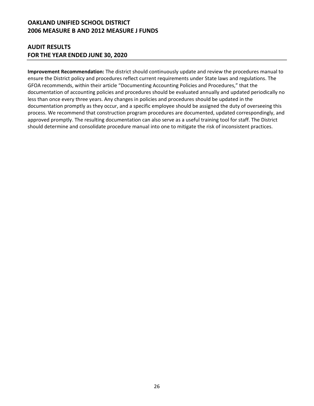#### **AUDIT RESULTS FOR THE YEAR ENDED JUNE 30, 2020**

**Improvement Recommendation:** The district should continuously update and review the procedures manual to ensure the District policy and procedures reflect current requirements under State laws and regulations. The GFOA recommends, within their article "Documenting Accounting Policies and Procedures," that the documentation of accounting policies and procedures should be evaluated annually and updated periodically no less than once every three years. Any changes in policies and procedures should be updated in the documentation promptly as they occur, and a specific employee should be assigned the duty of overseeing this process. We recommend that construction program procedures are documented, updated correspondingly, and approved promptly. The resulting documentation can also serve as a useful training tool for staff. The District should determine and consolidate procedure manual into one to mitigate the risk of inconsistent practices.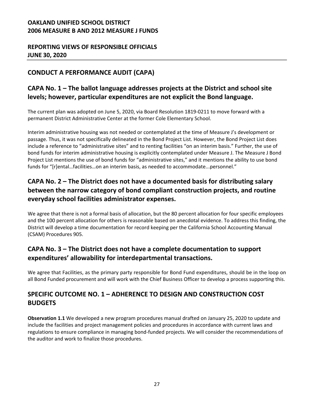### **REPORTING VIEWS OF RESPONSIBLE OFFICIALS JUNE 30, 2020**

# **CONDUCT A PERFORMANCE AUDIT (CAPA)**

# **CAPA No. 1 – The ballot language addresses projects at the District and school site levels; however, particular expenditures are not explicit the Bond language.**

The current plan was adopted on June 5, 2020, via Board Resolution 1819-0211 to move forward with a permanent District Administrative Center at the former Cole Elementary School.

Interim administrative housing was not needed or contemplated at the time of Measure J's development or passage. Thus, it was not specifically delineated in the Bond Project List. However, the Bond Project List does include a reference to "administrative sites" and to renting facilities "on an interim basis." Further, the use of bond funds for interim administrative housing is explicitly contemplated under Measure J. The Measure J Bond Project List mentions the use of bond funds for "administrative sites," and it mentions the ability to use bond funds for "[r]ental…facilities…on an interim basis, as needed to accommodate...personnel."

# **CAPA No. 2 – The District does not have a documented basis for distributing salary between the narrow category of bond compliant construction projects, and routine everyday school facilities administrator expenses.**

We agree that there is not a formal basis of allocation, but the 80 percent allocation for four specific employees and the 100 percent allocation for others is reasonable based on anecdotal evidence. To address this finding, the District will develop a time documentation for record keeping per the California School Accounting Manual (CSAM) Procedures 905.

# **CAPA No. 3 – The District does not have a complete documentation to support expenditures' allowability for interdepartmental transactions.**

We agree that Facilities, as the primary party responsible for Bond Fund expenditures, should be in the loop on all Bond Funded procurement and will work with the Chief Business Officer to develop a process supporting this.

# **SPECIFIC OUTCOME NO. 1 – ADHERENCE TO DESIGN AND CONSTRUCTION COST BUDGETS**

**Observation 1.1** We developed a new program procedures manual drafted on January 25, 2020 to update and include the facilities and project management policies and procedures in accordance with current laws and regulations to ensure compliance in managing bond-funded projects. We will consider the recommendations of the auditor and work to finalize those procedures.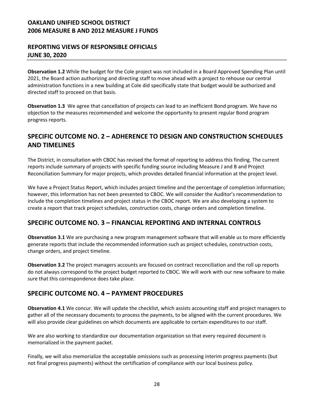### **REPORTING VIEWS OF RESPONSIBLE OFFICIALS JUNE 30, 2020**

**Observation 1.2** While the budget for the Cole project was not included in a Board Approved Spending Plan until 2021, the Board action authorizing and directing staff to move ahead with a project to rehouse our central administration functions in a new building at Cole did specifically state that budget would be authorized and directed staff to proceed on that basis.

**Observation 1.3** We agree that cancellation of projects can lead to an inefficient Bond program. We have no objection to the measures recommended and welcome the opportunity to present regular Bond program progress reports.

# **SPECIFIC OUTCOME NO. 2 – ADHERENCE TO DESIGN AND CONSTRUCTION SCHEDULES AND TIMELINES**

The District, in consultation with CBOC has revised the format of reporting to address this finding. The current reports include summary of projects with specific funding source including Measure J and B and Project Reconciliation Summary for major projects, which provides detailed financial information at the project level.

We have a Project Status Report, which includes project timeline and the percentage of completion information; however, this information has not been presented to CBOC. We will consider the Auditor's recommendation to include the completion timelines and project status in the CBOC report. We are also developing a system to create a report that track project schedules, construction costs, change orders and completion timeline.

### **SPECIFIC OUTCOME NO. 3 – FINANCIAL REPORTING AND INTERNAL CONTROLS**

**Observation 3.1** We are purchasing a new program management software that will enable us to more efficiently generate reports that include the recommended information such as project schedules, construction costs, change orders, and project timeline.

**Observation 3.2** The project managers accounts are focused on contract reconciliation and the roll up reports do not always correspond to the project budget reported to CBOC. We will work with our new software to make sure that this correspondence does take place.

### **SPECIFIC OUTCOME NO. 4 – PAYMENT PROCEDURES**

**Observation 4.1** We concur. We will update the checklist, which assists accounting staff and project managers to gather all of the necessary documents to process the payments, to be aligned with the current procedures. We will also provide clear guidelines on which documents are applicable to certain expenditures to our staff.

We are also working to standardize our documentation organization so that every required document is memorialized in the payment packet.

Finally, we will also memorialize the acceptable omissions such as processing interim progress payments (but not final progress payments) without the certification of compliance with our local business policy.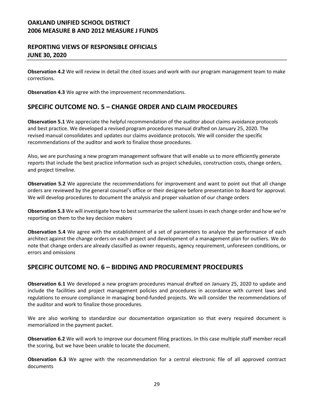#### **REPORTING VIEWS OF RESPONSIBLE OFFICIALS JUNE 30, 2020**

**Observation 4.2** We will review in detail the cited issues and work with our program management team to make corrections.

**Observation 4.3** We agree with the improvement recommendations.

### **SPECIFIC OUTCOME NO. 5 – CHANGE ORDER AND CLAIM PROCEDURES**

**Observation 5.1** We appreciate the helpful recommendation of the auditor about claims avoidance protocols and best practice. We developed a revised program procedures manual drafted on January 25, 2020. The revised manual consolidates and updates our claims avoidance protocols. We will consider the specific recommendations of the auditor and work to finalize those procedures.

Also, we are purchasing a new program management software that will enable us to more efficiently generate reports that include the best practice information such as project schedules, construction costs, change orders, and project timeline.

**Observation 5.2** We appreciate the recommendations for improvement and want to point out that all change orders are reviewed by the general counsel's office or their designee before presentation to Board for approval. We will develop procedures to document the analysis and proper valuation of our change orders

**Observation 5.3** We will investigate how to best summarize the salient issues in each change order and how we're reporting on them to the key decision makers

**Observation 5.4** We agree with the establishment of a set of parameters to analyze the performance of each architect against the change orders on each project and development of a management plan for outliers. We do note that change orders are already classified as owner requests, agency requirement, unforeseen conditions, or errors and omissions

### **SPECIFIC OUTCOME NO. 6 – BIDDING AND PROCUREMENT PROCEDURES**

**Observation 6.1** We developed a new program procedures manual drafted on January 25, 2020 to update and include the facilities and project management policies and procedures in accordance with current laws and regulations to ensure compliance in managing bond-funded projects. We will consider the recommendations of the auditor and work to finalize those procedures.

We are also working to standardize our documentation organization so that every required document is memorialized in the payment packet.

**Observation 6.2** We will work to improve our document filing practices. In this case multiple staff member recall the scoring, but we have been unable to locate the document.

**Observation 6.3** We agree with the recommendation for a central electronic file of all approved contract documents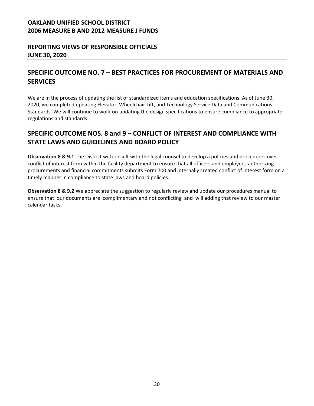### **REPORTING VIEWS OF RESPONSIBLE OFFICIALS JUNE 30, 2020**

### **SPECIFIC OUTCOME NO. 7 – BEST PRACTICES FOR PROCUREMENT OF MATERIALS AND SERVICES**

We are in the process of updating the list of standardized items and education specifications. As of June 30, 2020, we completed updating Elevator, Wheelchair Lift, and Technology Service Data and Communications Standards. We will continue to work on updating the design specifications to ensure compliance to appropriate regulations and standards.

# **SPECIFIC OUTCOME NOS. 8 and 9 – CONFLICT OF INTEREST AND COMPLIANCE WITH STATE LAWS AND GUIDELINES AND BOARD POLICY**

**Observation 8 & 9.1** The District will consult with the legal counsel to develop a policies and procedures over conflict of interest form within the facility department to ensure that all officers and employees authorizing procurements and financial commitments submits Form 700 and internally created conflict of interest form on a timely manner in compliance to state laws and board policies.

**Observation 8 & 9.2** We appreciate the suggestion to regularly review and update our procedures manual to ensure that our documents are complimentary and not conflicting and will adding that review to our master calendar tasks.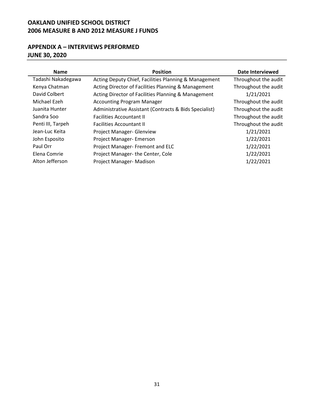## **APPENDIX A – INTERVIEWS PERFORMED JUNE 30, 2020**

| <b>Name</b>        | <b>Position</b>                                        | Date Interviewed     |
|--------------------|--------------------------------------------------------|----------------------|
| Tadashi Nakadegawa | Acting Deputy Chief, Facilities Planning & Management  | Throughout the audit |
| Kenya Chatman      | Acting Director of Facilities Planning & Management    | Throughout the audit |
| David Colbert      | Acting Director of Facilities Planning & Management    | 1/21/2021            |
| Michael Ezeh       | <b>Accounting Program Manager</b>                      | Throughout the audit |
| Juanita Hunter     | Administrative Assistant (Contracts & Bids Specialist) | Throughout the audit |
| Sandra Soo         | <b>Facilities Accountant II</b>                        | Throughout the audit |
| Penti III, Tarpeh  | <b>Facilities Accountant II</b>                        | Throughout the audit |
| Jean-Luc Keita     | Project Manager- Glenview                              | 1/21/2021            |
| John Esposito      | Project Manager- Emerson                               | 1/22/2021            |
| Paul Orr           | Project Manager- Fremont and ELC                       | 1/22/2021            |
| Elena Comrie       | Project Manager-the Center, Cole                       | 1/22/2021            |
| Alton Jefferson    | Project Manager- Madison                               | 1/22/2021            |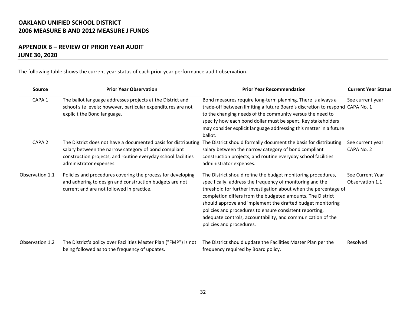### **APPENDIX B – REVIEW OF PRIOR YEAR AUDIT JUNE 30, 2020**

The following table shows the current year status of each prior year performance audit observation.

| Source<br><b>Prior Year Observation</b> |                                                                                                                                                                                                                    | <b>Prior Year Recommendation</b>                                                                                                                                                                                                                                                                                                                                                                                                                                                | <b>Current Year Status</b>          |  |
|-----------------------------------------|--------------------------------------------------------------------------------------------------------------------------------------------------------------------------------------------------------------------|---------------------------------------------------------------------------------------------------------------------------------------------------------------------------------------------------------------------------------------------------------------------------------------------------------------------------------------------------------------------------------------------------------------------------------------------------------------------------------|-------------------------------------|--|
| CAPA <sub>1</sub>                       | The ballot language addresses projects at the District and<br>school site levels; however, particular expenditures are not<br>explicit the Bond language.                                                          | Bond measures require long-term planning. There is always a<br>trade-off between limiting a future Board's discretion to respond CAPA No. 1<br>to the changing needs of the community versus the need to<br>specify how each bond dollar must be spent. Key stakeholders<br>may consider explicit language addressing this matter in a future<br>ballot.                                                                                                                        | See current year                    |  |
| CAPA <sub>2</sub>                       | The District does not have a documented basis for distributing<br>salary between the narrow category of bond compliant<br>construction projects, and routine everyday school facilities<br>administrator expenses. | The District should formally document the basis for distributing<br>salary between the narrow category of bond compliant<br>construction projects, and routine everyday school facilities<br>administrator expenses.                                                                                                                                                                                                                                                            | See current year<br>CAPA No. 2      |  |
| Observation 1.1                         | Policies and procedures covering the process for developing<br>and adhering to design and construction budgets are not<br>current and are not followed in practice.                                                | The District should refine the budget monitoring procedures,<br>specifically, address the frequency of monitoring and the<br>threshold for further investigation about when the percentage of<br>completion differs from the budgeted amounts. The District<br>should approve and implement the drafted budget monitoring<br>policies and procedures to ensure consistent reporting,<br>adequate controls, accountability, and communication of the<br>policies and procedures. | See Current Year<br>Observation 1.1 |  |
| Observation 1.2                         | The District's policy over Facilities Master Plan ("FMP") is not<br>being followed as to the frequency of updates.                                                                                                 | The District should update the Facilities Master Plan per the<br>frequency required by Board policy.                                                                                                                                                                                                                                                                                                                                                                            | Resolved                            |  |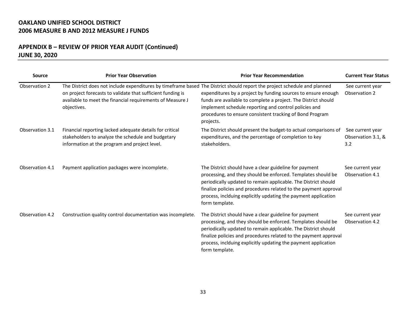### **APPENDIX B – REVIEW OF PRIOR YEAR AUDIT (Continued) JUNE 30, 2020**

| Source          | <b>Prior Year Observation</b>                                                                                                                                                                                                                                        | <b>Prior Year Recommendation</b>                                                                                                                                                                                                                                                                                                                 | <b>Current Year Status</b>                    |  |
|-----------------|----------------------------------------------------------------------------------------------------------------------------------------------------------------------------------------------------------------------------------------------------------------------|--------------------------------------------------------------------------------------------------------------------------------------------------------------------------------------------------------------------------------------------------------------------------------------------------------------------------------------------------|-----------------------------------------------|--|
| Observation 2   | The District does not include expenditures by timeframe based The District should report the project schedule and planned<br>on project forecasts to validate that sufficient funding is<br>available to meet the financial requirements of Measure J<br>objectives. | expenditures by a project by funding sources to ensure enough<br>funds are available to complete a project. The District should<br>implement schedule reporting and control policies and<br>procedures to ensure consistent tracking of Bond Program<br>projects.                                                                                | See current year<br>Observation 2             |  |
| Observation 3.1 | Financial reporting lacked adequate details for critical<br>stakeholders to analyze the schedule and budgetary<br>information at the program and project level.                                                                                                      | The District should present the budget-to actual comparisons of<br>expenditures, and the percentage of completion to key<br>stakeholders.                                                                                                                                                                                                        | See current year<br>Observation 3.1, &<br>3.2 |  |
| Observation 4.1 | Payment application packages were incomplete.                                                                                                                                                                                                                        | The District should have a clear guideline for payment<br>processing, and they should be enforced. Templates should be<br>periodically updated to remain applicable. The District should<br>finalize policies and procedures related to the payment approval<br>process, inclduing explicitly updating the payment application<br>form template. | See current year<br>Observation 4.1           |  |
| Observation 4.2 | Construction quality control documentation was incomplete.                                                                                                                                                                                                           | The District should have a clear guideline for payment<br>processing, and they should be enforced. Templates should be<br>periodically updated to remain applicable. The District should<br>finalize policies and procedures related to the payment approval<br>process, inclduing explicitly updating the payment application<br>form template. | See current year<br>Observation 4.2           |  |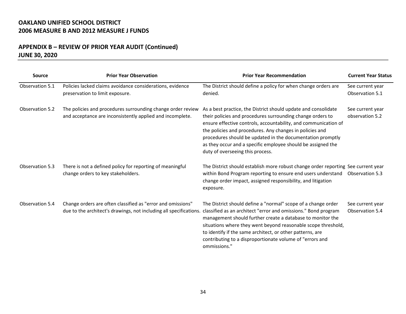### **APPENDIX B – REVIEW OF PRIOR YEAR AUDIT (Continued) JUNE 30, 2020**

| Source          | <b>Prior Year Observation</b>                                                                                                     | <b>Prior Year Recommendation</b>                                                                                                                                                                                                                                                                                                                                                                                              | <b>Current Year Status</b>          |  |
|-----------------|-----------------------------------------------------------------------------------------------------------------------------------|-------------------------------------------------------------------------------------------------------------------------------------------------------------------------------------------------------------------------------------------------------------------------------------------------------------------------------------------------------------------------------------------------------------------------------|-------------------------------------|--|
| Observation 5.1 | Policies lacked claims avoidance considerations, evidence<br>preservation to limit exposure.                                      | The District should define a policy for when change orders are<br>denied.                                                                                                                                                                                                                                                                                                                                                     | See current year<br>Observation 5.1 |  |
| Observation 5.2 | The policies and procedures surrounding change order review<br>and acceptance are inconsistently applied and incomplete.          | As a best practice, the District should update and consolidate<br>their policies and procedures surrounding change orders to<br>ensure effective controls, accountability, and communication of<br>the policies and procedures. Any changes in policies and<br>procedures should be updated in the documentation promptly<br>as they occur and a specific employee should be assigned the<br>duty of overseeing this process. | See current year<br>observation 5.2 |  |
| Observation 5.3 | There is not a defined policy for reporting of meaningful<br>change orders to key stakeholders.                                   | The District should establish more robust change order reporting See current year<br>within Bond Program reporting to ensure end users understand<br>change order impact, assigned responsibility, and litigation<br>exposure.                                                                                                                                                                                                | Observation 5.3                     |  |
| Observation 5.4 | Change orders are often classified as "error and omissions"<br>due to the architect's drawings, not including all specifications. | The District should define a "normal" scope of a change order<br>classified as an architect "error and omissions." Bond program<br>management should further create a database to monitor the<br>situations where they went beyond reasonable scope threshold,<br>to identify if the same architect, or other patterns, are<br>contributing to a disproportionate volume of "errors and<br>ommissions."                       | See current year<br>Observation 5.4 |  |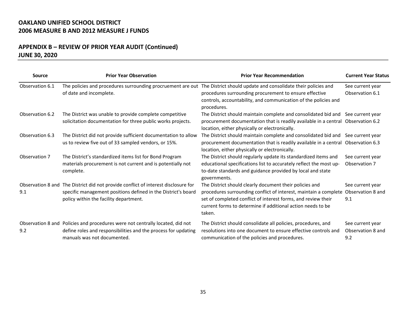### **APPENDIX B – REVIEW OF PRIOR YEAR AUDIT (Continued) JUNE 30, 2020**

| <b>Source</b>   | <b>Prior Year Observation</b>                                                                                                                                                                 | <b>Prior Year Recommendation</b>                                                                                                                                                                                                                                      | <b>Current Year Status</b>                   |  |
|-----------------|-----------------------------------------------------------------------------------------------------------------------------------------------------------------------------------------------|-----------------------------------------------------------------------------------------------------------------------------------------------------------------------------------------------------------------------------------------------------------------------|----------------------------------------------|--|
| Observation 6.1 | The policies and procedures surrounding procruement are out The District should update and consolidate their policies and<br>of date and incomplete.                                          | procedures surrounding procurement to ensure effective<br>controls, accountability, and communication of the policies and<br>procedures.                                                                                                                              | See current year<br>Observation 6.1          |  |
| Observation 6.2 | The District was unable to provide complete competitive<br>solicitation documentation for three public works projects.                                                                        | The District should maintain complete and consolidated bid and See current year<br>procurement documentation that is readily available in a central Observation 6.2<br>location, either physically or electronically.                                                 |                                              |  |
| Observation 6.3 | The District did not provide sufficient documentation to allow<br>us to review five out of 33 sampled vendors, or 15%.                                                                        | The District should maintain complete and consolidated bid and See current year<br>procurement documentation that is readily available in a central Observation 6.3<br>location, either physically or electronically.                                                 |                                              |  |
| Observation 7   | The District's standardized items list for Bond Program<br>materials procurement is not current and is potentially not<br>complete.                                                           | The District should regularly update its standardized items and<br>educational specifications list to accurately reflect the most up-<br>to-date standards and guidance provided by local and state<br>governments.                                                   | See current year<br>Observation 7            |  |
| 9.1             | Observation 8 and The District did not provide conflict of interest disclosure for<br>specific management positions defined in the District's board<br>policy within the facility department. | The District should clearly document their policies and<br>procedures surrounding conflict of interest, maintain a complete<br>set of completed conflict of interest forms, and review their<br>current forms to determine if additional action needs to be<br>taken. | See current year<br>Observation 8 and<br>9.1 |  |
| 9.2             | Observation 8 and Policies and procedures were not centrally located, did not<br>define roles and responsibilities and the process for updating<br>manuals was not documented.                | The District should consolidate all policies, procedures, and<br>resolutions into one document to ensure effective controls and<br>communication of the policies and procedures.                                                                                      | See current year<br>Observation 8 and<br>9.2 |  |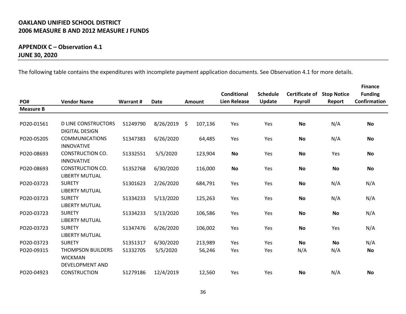### **APPENDIX C – Observation 4.1 JUNE 30, 2020**

The following table contains the expenditures with incomplete payment application documents. See Observation 4.1 for more details.

|                  |                                                     |          |           |     |         |                     |                 |                       |                    | <b>Finance</b>      |
|------------------|-----------------------------------------------------|----------|-----------|-----|---------|---------------------|-----------------|-----------------------|--------------------|---------------------|
|                  |                                                     |          |           |     |         | Conditional         | <b>Schedule</b> | <b>Certificate of</b> | <b>Stop Notice</b> | <b>Funding</b>      |
| PO#              | <b>Vendor Name</b>                                  | Warrant# | Date      |     | Amount  | <b>Lien Release</b> | Update          | <b>Payroll</b>        | Report             | <b>Confirmation</b> |
| <b>Measure B</b> |                                                     |          |           |     |         |                     |                 |                       |                    |                     |
|                  |                                                     |          |           |     |         |                     |                 |                       |                    |                     |
| PO20-01561       | <b>D LINE CONSTRUCTORS</b><br><b>DIGITAL DESIGN</b> | 51249790 | 8/26/2019 | \$. | 107,136 | Yes                 | Yes             | No                    | N/A                | No                  |
| PO20-05205       | <b>COMMUNICATIONS</b>                               | 51347383 | 6/26/2020 |     | 64,485  | Yes                 | Yes             | No                    | N/A                | No                  |
|                  | <b>INNOVATIVE</b>                                   |          |           |     |         |                     |                 |                       |                    |                     |
| PO20-08693       | CONSTRUCTION CO.                                    | 51332551 | 5/5/2020  |     | 123,904 | No                  | Yes             | No                    | Yes                | No                  |
|                  | <b>INNOVATIVE</b>                                   |          |           |     |         |                     |                 |                       |                    |                     |
| PO20-08693       | <b>CONSTRUCTION CO.</b>                             | 51352768 | 6/30/2020 |     | 116,000 | No                  | Yes             | No                    | <b>No</b>          | No                  |
|                  | <b>LIBERTY MUTUAL</b>                               |          |           |     |         |                     |                 |                       |                    |                     |
| PO20-03723       | <b>SURETY</b>                                       | 51301623 | 2/26/2020 |     | 684,791 | Yes                 | Yes             | <b>No</b>             | N/A                | N/A                 |
|                  | <b>LIBERTY MUTUAL</b>                               |          |           |     |         |                     |                 |                       |                    |                     |
| PO20-03723       | <b>SURETY</b>                                       | 51334233 | 5/13/2020 |     | 125,263 | Yes                 | Yes             | <b>No</b>             | N/A                | N/A                 |
|                  | <b>LIBERTY MUTUAL</b>                               |          |           |     |         |                     |                 |                       |                    |                     |
| PO20-03723       | <b>SURETY</b>                                       | 51334233 | 5/13/2020 |     | 106,586 | Yes                 | Yes             | No                    | No                 | N/A                 |
|                  | <b>LIBERTY MUTUAL</b>                               |          |           |     |         |                     |                 |                       |                    |                     |
| PO20-03723       | <b>SURETY</b>                                       | 51347476 | 6/26/2020 |     | 106,002 | Yes                 | Yes             | <b>No</b>             | Yes                | N/A                 |
|                  | <b>LIBERTY MUTUAL</b>                               |          |           |     |         |                     |                 |                       |                    |                     |
| PO20-03723       | <b>SURETY</b>                                       | 51351317 | 6/30/2020 |     | 213,989 | Yes                 | Yes             | <b>No</b>             | <b>No</b>          | N/A                 |
| PO20-09315       | <b>THOMPSON BUILDERS</b>                            | 51332705 | 5/5/2020  |     | 56,246  | Yes                 | Yes             | N/A                   | N/A                | No                  |
|                  | <b>WICKMAN</b>                                      |          |           |     |         |                     |                 |                       |                    |                     |
|                  | <b>DEVELOPMENT AND</b>                              |          |           |     |         |                     |                 |                       |                    |                     |
| PO20-04923       | <b>CONSTRUCTION</b>                                 | 51279186 | 12/4/2019 |     | 12,560  | Yes                 | Yes             | No                    | N/A                | No                  |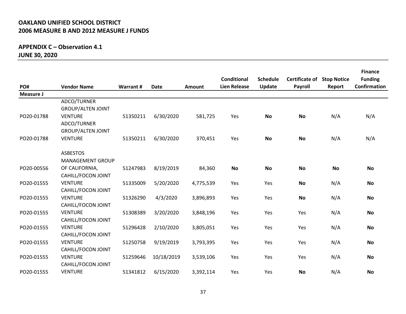### **APPENDIX C – Observation 4.1 JUNE 30, 2020**

| PO#        | <b>Vendor Name</b>                                        | Warrant # | <b>Date</b> | Amount    | <b>Conditional</b><br><b>Lien Release</b> | <b>Schedule</b><br>Update | <b>Certificate of</b><br>Payroll | <b>Stop Notice</b><br>Report | <b>Finance</b><br><b>Funding</b><br>Confirmation |
|------------|-----------------------------------------------------------|-----------|-------------|-----------|-------------------------------------------|---------------------------|----------------------------------|------------------------------|--------------------------------------------------|
| Measure J  |                                                           |           |             |           |                                           |                           |                                  |                              |                                                  |
|            | ADCO/TURNER<br><b>GROUP/ALTEN JOINT</b>                   |           |             |           |                                           |                           |                                  |                              |                                                  |
| PO20-01788 | <b>VENTURE</b><br>ADCO/TURNER<br><b>GROUP/ALTEN JOINT</b> | 51350211  | 6/30/2020   | 581,725   | Yes                                       | <b>No</b>                 | <b>No</b>                        | N/A                          | N/A                                              |
| PO20-01788 | <b>VENTURE</b>                                            | 51350211  | 6/30/2020   | 370,451   | Yes                                       | <b>No</b>                 | <b>No</b>                        | N/A                          | N/A                                              |
|            | <b>ASBESTOS</b><br><b>MANAGEMENT GROUP</b>                |           |             |           |                                           |                           |                                  |                              |                                                  |
| PO20-00556 | OF CALIFORNIA,<br>CAHILL/FOCON JOINT                      | 51247983  | 8/19/2019   | 84,360    | <b>No</b>                                 | <b>No</b>                 | <b>No</b>                        | <b>No</b>                    | <b>No</b>                                        |
| PO20-01555 | <b>VENTURE</b><br>CAHILL/FOCON JOINT                      | 51335009  | 5/20/2020   | 4,775,539 | Yes                                       | Yes                       | <b>No</b>                        | N/A                          | No                                               |
| PO20-01555 | <b>VENTURE</b><br>CAHILL/FOCON JOINT                      | 51326290  | 4/3/2020    | 3,896,893 | Yes                                       | Yes                       | <b>No</b>                        | N/A                          | No                                               |
| PO20-01555 | <b>VENTURE</b><br>CAHILL/FOCON JOINT                      | 51308389  | 3/20/2020   | 3,848,196 | Yes                                       | Yes                       | Yes                              | N/A                          | No                                               |
| PO20-01555 | <b>VENTURE</b><br>CAHILL/FOCON JOINT                      | 51296428  | 2/10/2020   | 3,805,051 | Yes                                       | Yes                       | Yes                              | N/A                          | No                                               |
| PO20-01555 | <b>VENTURE</b><br>CAHILL/FOCON JOINT                      | 51250758  | 9/19/2019   | 3,793,395 | Yes                                       | Yes                       | Yes                              | N/A                          | No                                               |
| PO20-01555 | <b>VENTURE</b><br>CAHILL/FOCON JOINT                      | 51259646  | 10/18/2019  | 3,539,106 | Yes                                       | Yes                       | Yes                              | N/A                          | No                                               |
| PO20-01555 | <b>VENTURE</b>                                            | 51341812  | 6/15/2020   | 3,392,114 | Yes                                       | Yes                       | <b>No</b>                        | N/A                          | No                                               |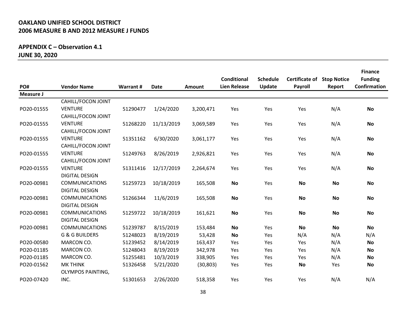### **APPENDIX C – Observation 4.1 JUNE 30, 2020**

|                  |                           |          |             |           | <b>Conditional</b><br><b>Lien Release</b> | <b>Schedule</b> | <b>Certificate of Stop Notice</b> |           | <b>Finance</b><br><b>Funding</b><br>Confirmation |
|------------------|---------------------------|----------|-------------|-----------|-------------------------------------------|-----------------|-----------------------------------|-----------|--------------------------------------------------|
| PO#<br>Measure J | <b>Vendor Name</b>        | Warrant# | <b>Date</b> | Amount    |                                           | Update          | Payroll                           | Report    |                                                  |
|                  | CAHILL/FOCON JOINT        |          |             |           |                                           |                 |                                   |           |                                                  |
| PO20-01555       | <b>VENTURE</b>            | 51290477 | 1/24/2020   | 3,200,471 | Yes                                       | Yes             | Yes                               | N/A       | <b>No</b>                                        |
|                  | CAHILL/FOCON JOINT        |          |             |           |                                           |                 |                                   |           |                                                  |
| PO20-01555       | <b>VENTURE</b>            | 51268220 | 11/13/2019  | 3,069,589 | Yes                                       | Yes             | Yes                               | N/A       | <b>No</b>                                        |
|                  | CAHILL/FOCON JOINT        |          |             |           |                                           |                 |                                   |           |                                                  |
| PO20-01555       | <b>VENTURE</b>            | 51351162 | 6/30/2020   | 3,061,177 | Yes                                       | Yes             | Yes                               | N/A       | <b>No</b>                                        |
|                  | CAHILL/FOCON JOINT        |          |             |           |                                           |                 |                                   |           |                                                  |
| PO20-01555       | <b>VENTURE</b>            | 51249763 | 8/26/2019   | 2,926,821 | Yes                                       | Yes             | Yes                               | N/A       | <b>No</b>                                        |
|                  | CAHILL/FOCON JOINT        |          |             |           |                                           |                 |                                   |           |                                                  |
| PO20-01555       | <b>VENTURE</b>            | 51311416 | 12/17/2019  | 2,264,674 | Yes                                       | Yes             | Yes                               | N/A       | <b>No</b>                                        |
|                  | <b>DIGITAL DESIGN</b>     |          |             |           |                                           |                 |                                   |           |                                                  |
| PO20-00981       | <b>COMMUNICATIONS</b>     | 51259723 | 10/18/2019  | 165,508   | <b>No</b>                                 | Yes             | <b>No</b>                         | No        | <b>No</b>                                        |
|                  | <b>DIGITAL DESIGN</b>     |          |             |           |                                           |                 |                                   |           |                                                  |
| PO20-00981       | <b>COMMUNICATIONS</b>     | 51266344 | 11/6/2019   | 165,508   | <b>No</b>                                 | Yes             | No                                | No        | <b>No</b>                                        |
|                  | <b>DIGITAL DESIGN</b>     |          |             |           |                                           |                 |                                   |           |                                                  |
| PO20-00981       | <b>COMMUNICATIONS</b>     | 51259722 | 10/18/2019  | 161,621   | <b>No</b>                                 | Yes             | <b>No</b>                         | No        | <b>No</b>                                        |
|                  | <b>DIGITAL DESIGN</b>     |          |             |           |                                           |                 |                                   |           |                                                  |
| PO20-00981       | <b>COMMUNICATIONS</b>     | 51239787 | 8/15/2019   | 153,484   | <b>No</b>                                 | Yes             | <b>No</b>                         | <b>No</b> | <b>No</b>                                        |
|                  | <b>G &amp; G BUILDERS</b> | 51248023 | 8/19/2019   | 53,428    | <b>No</b>                                 | Yes             | N/A                               | N/A       | N/A                                              |
| PO20-00580       | <b>MARCON CO.</b>         | 51239452 | 8/14/2019   | 163,437   | Yes                                       | Yes             | Yes                               | N/A       | <b>No</b>                                        |
| PO20-01185       | MARCON CO.                | 51248043 | 8/19/2019   | 342,978   | Yes                                       | Yes             | Yes                               | N/A       | <b>No</b>                                        |
| PO20-01185       | MARCON CO.                | 51255481 | 10/3/2019   | 338,905   | Yes                                       | Yes             | Yes                               | N/A       | <b>No</b>                                        |
| PO20-01562       | <b>MK THINK</b>           | 51326458 | 5/21/2020   | (30, 803) | Yes                                       | Yes             | <b>No</b>                         | Yes       | <b>No</b>                                        |
|                  | <b>OLYMPOS PAINTING,</b>  |          |             |           |                                           |                 |                                   |           |                                                  |
| PO20-07420       | INC.                      | 51301653 | 2/26/2020   | 518,358   | Yes                                       | Yes             | Yes                               | N/A       | N/A                                              |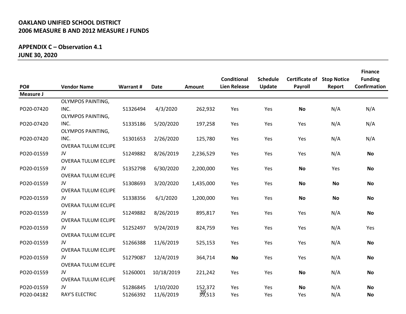## **APPENDIX C – Observation 4.1 JUNE 30, 2020**

|            |                            |           |             |           |                     |                 |                                   |           | <b>Finance</b> |
|------------|----------------------------|-----------|-------------|-----------|---------------------|-----------------|-----------------------------------|-----------|----------------|
|            |                            |           |             |           | <b>Conditional</b>  | <b>Schedule</b> | <b>Certificate of Stop Notice</b> |           | <b>Funding</b> |
| PO#        | <b>Vendor Name</b>         | Warrant # | <b>Date</b> | Amount    | <b>Lien Release</b> | Update          | Payroll                           | Report    | Confirmation   |
| Measure J  |                            |           |             |           |                     |                 |                                   |           |                |
|            | <b>OLYMPOS PAINTING,</b>   |           |             |           |                     |                 |                                   |           |                |
| PO20-07420 | INC.                       | 51326494  | 4/3/2020    | 262,932   | Yes                 | Yes             | <b>No</b>                         | N/A       | N/A            |
|            | <b>OLYMPOS PAINTING,</b>   |           |             |           |                     |                 |                                   |           |                |
| PO20-07420 | INC.                       | 51335186  | 5/20/2020   | 197,258   | Yes                 | Yes             | Yes                               | N/A       | N/A            |
|            | <b>OLYMPOS PAINTING,</b>   |           |             |           |                     |                 |                                   |           |                |
| PO20-07420 | INC.                       | 51301653  | 2/26/2020   | 125,780   | Yes                 | Yes             | <b>Yes</b>                        | N/A       | N/A            |
|            | <b>OVERAA TULUM ECLIPE</b> |           |             |           |                     |                 |                                   |           |                |
| PO20-01559 | JV.                        | 51249882  | 8/26/2019   | 2,236,529 | Yes                 | Yes             | Yes                               | N/A       | <b>No</b>      |
|            | <b>OVERAA TULUM ECLIPE</b> |           |             |           |                     |                 |                                   |           |                |
| PO20-01559 | JV                         | 51352798  | 6/30/2020   | 2,200,000 | Yes                 | Yes             | No                                | Yes       | <b>No</b>      |
|            | OVERAA TULUM ECLIPE        |           |             |           |                     |                 |                                   |           |                |
| PO20-01559 | JV                         | 51308693  | 3/20/2020   | 1,435,000 | Yes                 | Yes             | No                                | <b>No</b> | <b>No</b>      |
|            | <b>OVERAA TULUM ECLIPE</b> |           |             |           |                     |                 |                                   |           |                |
| PO20-01559 | JV                         | 51338356  | 6/1/2020    | 1,200,000 | Yes                 | Yes             | <b>No</b>                         | <b>No</b> | <b>No</b>      |
|            | <b>OVERAA TULUM ECLIPE</b> |           |             |           |                     |                 |                                   |           |                |
| PO20-01559 | JV                         | 51249882  | 8/26/2019   | 895,817   | Yes                 | Yes             | Yes                               | N/A       | No             |
|            | <b>OVERAA TULUM ECLIPE</b> |           |             |           |                     |                 |                                   |           |                |
| PO20-01559 | JV                         | 51252497  | 9/24/2019   | 824,759   | Yes                 | Yes             | Yes                               | N/A       | Yes            |
|            | OVERAA TULUM ECLIPE        |           |             |           |                     |                 |                                   |           |                |
| PO20-01559 | JV.                        | 51266388  | 11/6/2019   | 525,153   | Yes                 | Yes             | Yes                               | N/A       | <b>No</b>      |
|            | OVERAA TULUM ECLIPE        |           |             |           |                     |                 |                                   |           |                |
| PO20-01559 | JV                         | 51279087  | 12/4/2019   | 364,714   | No                  | Yes             | Yes                               | N/A       | <b>No</b>      |
|            | <b>OVERAA TULUM ECLIPE</b> |           |             |           |                     |                 |                                   |           |                |
| PO20-01559 | JV                         | 51260001  | 10/18/2019  | 221,242   | Yes                 | Yes             | <b>No</b>                         | N/A       | <b>No</b>      |
|            | <b>OVERAA TULUM ECLIPE</b> |           |             |           |                     |                 |                                   |           |                |
| PO20-01559 | JV                         | 51286845  | 1/10/2020   | 152,372   | Yes                 | Yes             | <b>No</b>                         | N/A       | <b>No</b>      |
| PO20-04182 | <b>RAY'S ELECTRIC</b>      | 51266392  | 11/6/2019   | 39,513    | Yes                 | Yes             | Yes                               | N/A       | <b>No</b>      |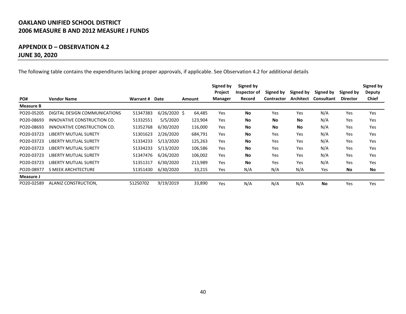### **APPENDIX D – OBSERVATION 4.2 JUNE 30, 2020**

The following table contains the expenditures lacking proper approvals, if applicable. See Observation 4.2 for additional details

|            |                               |           |                |         | Signed by<br>Project | Signed by<br>Inspector of |                                |                               |                                |                              | Signed by                     |
|------------|-------------------------------|-----------|----------------|---------|----------------------|---------------------------|--------------------------------|-------------------------------|--------------------------------|------------------------------|-------------------------------|
| PO#        | <b>Vendor Name</b>            | Warrant # | Date           | Amount  | Manager              | Record                    | Signed by<br><b>Contractor</b> | Signed by<br><b>Architect</b> | Signed by<br><b>Consultant</b> | Signed by<br><b>Director</b> | <b>Deputy</b><br><b>Chief</b> |
| Measure B  |                               |           |                |         |                      |                           |                                |                               |                                |                              |                               |
| PO20-05205 | DIGITAL DESIGN COMMUNICATIONS | 51347383  | $6/26/2020$ \$ | 64,485  | Yes                  | <b>No</b>                 | Yes                            | Yes                           | N/A                            | Yes                          | Yes                           |
| PO20-08693 | INNOVATIVE CONSTRUCTION CO.   | 51332551  | 5/5/2020       | 123,904 | Yes                  | <b>No</b>                 | No                             | <b>No</b>                     | N/A                            | Yes                          | Yes                           |
| PO20-08693 | INNOVATIVE CONSTRUCTION CO.   | 51352768  | 6/30/2020      | 116,000 | Yes                  | <b>No</b>                 | <b>No</b>                      | No                            | N/A                            | Yes                          | Yes                           |
| PO20-03723 | LIBERTY MUTUAL SURETY         | 51301623  | 2/26/2020      | 684,791 | Yes                  | <b>No</b>                 | Yes                            | Yes                           | N/A                            | Yes                          | Yes                           |
| PO20-03723 | LIBERTY MUTUAL SURETY         | 51334233  | 5/13/2020      | 125,263 | Yes                  | <b>No</b>                 | Yes                            | Yes                           | N/A                            | Yes                          | Yes                           |
| PO20-03723 | LIBERTY MUTUAL SURETY         | 51334233  | 5/13/2020      | 106,586 | Yes                  | <b>No</b>                 | Yes                            | Yes                           | N/A                            | Yes                          | Yes                           |
| PO20-03723 | LIBERTY MUTUAL SURETY         | 51347476  | 6/26/2020      | 106,002 | Yes                  | <b>No</b>                 | Yes                            | Yes                           | N/A                            | Yes                          | Yes                           |
| PO20-03723 | LIBERTY MUTUAL SURETY         | 51351317  | 6/30/2020      | 213,989 | Yes                  | <b>No</b>                 | Yes                            | Yes                           | N/A                            | Yes                          | Yes                           |
| PO20-08977 | S MEEK ARCHITECTURE           | 51351430  | 6/30/2020      | 33,215  | Yes                  | N/A                       | N/A                            | N/A                           | Yes                            | No                           | No                            |
| Measure J  |                               |           |                |         |                      |                           |                                |                               |                                |                              |                               |
| PO20-02589 | ALANIZ CONSTRUCTION,          | 51250702  | 9/19/2019      | 33,890  | Yes                  | N/A                       | N/A                            | N/A                           | <b>No</b>                      | Yes                          | Yes                           |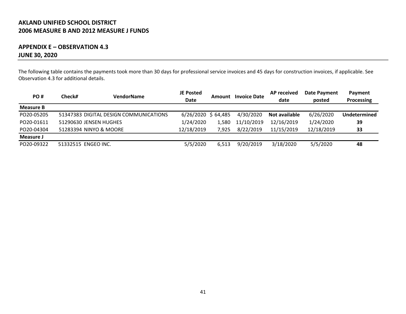### **APPENDIX E – OBSERVATION 4.3 JUNE 30, 2020**

The following table contains the payments took more than 30 days for professional service invoices and 45 days for construction invoices, if applicable. See Observation 4.3 for additional details.

| PO#              | Check#                 | VendorName                             | <b>JE Posted</b><br><b>Date</b> | Amount | <b>Invoice Date</b> | <b>AP</b> received<br>date | Date Payment<br>posted | Payment<br>Processing |
|------------------|------------------------|----------------------------------------|---------------------------------|--------|---------------------|----------------------------|------------------------|-----------------------|
| <b>Measure B</b> |                        |                                        |                                 |        |                     |                            |                        |                       |
| PO20-05205       |                        | 51347383 DIGITAL DESIGN COMMUNICATIONS | $6/26/2020$ \$ 64,485           |        | 4/30/2020           | Not available              | 6/26/2020              | Undetermined          |
| PO20-01611       | 51290630 JENSEN HUGHES |                                        | 1/24/2020                       | 1.580  | 11/10/2019          | 12/16/2019                 | 1/24/2020              | 39                    |
| PO20-04304       | 51283394 NINYO & MOORE |                                        | 12/18/2019                      | 7.925  | 8/22/2019           | 11/15/2019                 | 12/18/2019             | 33                    |
| Measure J        |                        |                                        |                                 |        |                     |                            |                        |                       |
| PO20-09322       | 51332515 ENGEO INC.    |                                        | 5/5/2020                        | 6.513  | 9/20/2019           | 3/18/2020                  | 5/5/2020               | 48                    |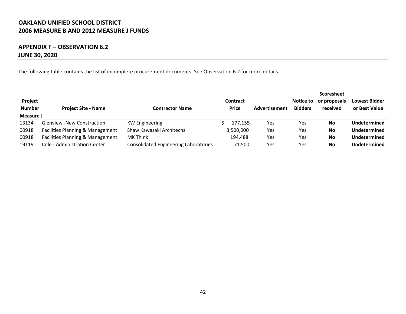### **APPENDIX F – OBSERVATION 6.2 JUNE 30, 2020**

The following table contains the list of incomplete procurement documents. See Observation 6.2 for more details.

|               |                                   |                                              |                 |                      |                | <b>Scoresheet</b> |                      |
|---------------|-----------------------------------|----------------------------------------------|-----------------|----------------------|----------------|-------------------|----------------------|
| Project       |                                   |                                              | <b>Contract</b> |                      | Notice to      | or proposals      | <b>Lowest Bidder</b> |
| <b>Number</b> | <b>Project Site - Name</b>        | Contractor Name                              | Price           | <b>Advertisement</b> | <b>Bidders</b> | received          | or Best Value        |
| Measure J     |                                   |                                              |                 |                      |                |                   |                      |
| 13134         | <b>Glenview -New Construction</b> | <b>KW Engineering</b>                        | 177,155         | Yes                  | Yes            | No                | <b>Undetermined</b>  |
| 00918         | Facilities Planning & Management  | Shaw Kawasaki Architechs                     | 3,500,000       | Yes                  | Yes            | No                | Undetermined         |
| 00918         | Facilities Planning & Management  | <b>MK Think</b>                              | 194,488         | Yes                  | Yes            | No                | Undetermined         |
| 19119         | Cole - Administration Center      | <b>Consolidated Engineering Laboratories</b> | 71.500          | Yes                  | Yes            | No                | <b>Undetermined</b>  |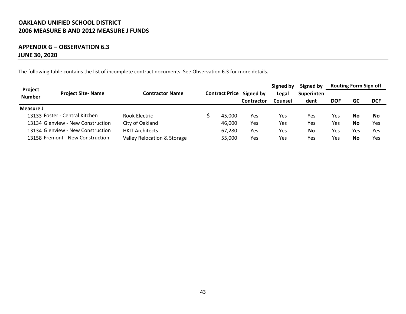### **APPENDIX G – OBSERVATION 6.3 JUNE 30, 2020**

The following table contains the list of incomplete contract documents. See Observation 6.3 for more details.

| Project       |                                   |                             |  |                       |            | Signed by | Signed by  | <b>Routing Form Sign off</b> |     |            |
|---------------|-----------------------------------|-----------------------------|--|-----------------------|------------|-----------|------------|------------------------------|-----|------------|
| <b>Number</b> | <b>Project Site-Name</b>          | <b>Contractor Name</b>      |  | <b>Contract Price</b> | Signed by  | Legal     | Superinten |                              |     |            |
|               |                                   |                             |  |                       | Contractor | Counsel   | dent       | DOF                          | GC  | <b>DCF</b> |
| Measure J     |                                   |                             |  |                       |            |           |            |                              |     |            |
|               | 13133 Foster - Central Kitchen    | Rook Electric               |  | 45.000                | Yes        | Yes       | Yes        | Yes                          | No  | No         |
|               | 13134 Glenview - New Construction | City of Oakland             |  | 46,000                | Yes        | Yes       | Yes        | Yes                          | No  | Yes        |
|               | 13134 Glenview - New Construction | <b>HKIT Architects</b>      |  | 67,280                | Yes        | Yes       | <b>No</b>  | Yes                          | Yes | Yes        |
|               | 13158 Fremont - New Construction  | Valley Relocation & Storage |  | 55,000                | Yes        | Yes       | Yes        | Yes                          | No  | Yes        |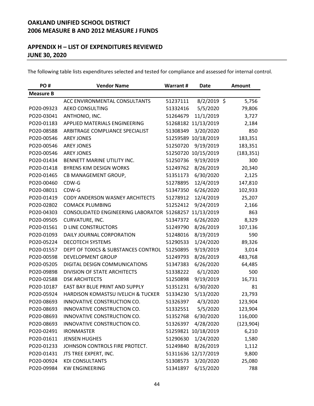### **APPENDIX H – LIST OF EXPENDITURES REVIEWED JUNE 30, 2020**

The following table lists expenditures selected and tested for compliance and assessed for internal control.

| PO#              | <b>Vendor Name</b>                          | <b>Warrant#</b> | <b>Date</b>         | <b>Amount</b> |
|------------------|---------------------------------------------|-----------------|---------------------|---------------|
| <b>Measure B</b> |                                             |                 |                     |               |
|                  | ACC ENVIRONMENTAL CONSULTANTS               | 51237111        | $8/2/2019$ \$       | 5,756         |
| PO20-09323       | <b>AEKO CONSULTING</b>                      | 51332416        | 5/5/2020            | 79,806        |
| PO20-03041       | ANTHONIO, INC.                              | 51264679        | 11/1/2019           | 3,727         |
| PO20-01183       | APPLIED MATERIALS ENGINEERING               |                 | 51268182 11/13/2019 | 2,184         |
| PO20-08588       | ARBITRAGE COMPLIANCE SPECIALIST             | 51308349        | 3/20/2020           | 850           |
| PO20-00546       | <b>AREY JONES</b>                           | 51259589        | 10/18/2019          | 183,351       |
| PO20-00546       | <b>AREY JONES</b>                           | 51250720        | 9/19/2019           | 183,351       |
| PO20-00546       | <b>AREY JONES</b>                           | 51250720        | 10/15/2019          | (183, 351)    |
| PO20-01434       | BENNETT MARINE UTILITY INC.                 | 51250736        | 9/19/2019           | 300           |
| PO20-01418       | <b>BYRENS KIM DESIGN WORKS</b>              | 51249762        | 8/26/2019           | 20,340        |
| PO20-01465       | CB MANAGEMENT GROUP,                        | 51351173        | 6/30/2020           | 2,125         |
| PO20-00460       | CDW-G                                       | 51278895        | 12/4/2019           | 147,810       |
| PO20-08011       | CDW-G                                       | 51347350        | 6/26/2020           | 102,933       |
| PO20-01419       | CODY ANDERSON WASNEY ARCHITECTS             | 51278912        | 12/4/2019           | 25,207        |
| PO20-02802       | <b>COMACK PLUMBING</b>                      | 51252412        | 9/24/2019           | 2,166         |
| PO20-04303       | CONSOLIDATED ENGINEERING LABORATOR 51268257 |                 | 11/13/2019          | 863           |
| PO20-09505       | CURVATURE, INC.                             | 51347372        | 6/26/2020           | 8,329         |
| PO20-01561       | <b>D LINE CONSTRUCTORS</b>                  | 51249790        | 8/26/2019           | 107,136       |
| PO20-01093       | DAILY JOURNAL CORPORATION                   | 51248016        | 8/19/2019           | 590           |
| PO20-05224       | <b>DECOTECH SYSTEMS</b>                     | 51290533        | 1/24/2020           | 89,326        |
| PO20-01557       | DEPT OF TOXICS & SUBSTANCES CONTROL         | 51250895        | 9/19/2019           | 3,014         |
| PO20-00598       | <b>DEVELOPMENT GROUP</b>                    | 51249793        | 8/26/2019           | 483,768       |
| PO20-05205       | DIGITAL DESIGN COMMUNICATIONS               | 51347383        | 6/26/2020           | 64,485        |
| PO20-09898       | DIVISION OF STATE ARCHITECTS                | 51338222        | 6/1/2020            | 500           |
| PO20-02588       | <b>DSK ARCHITECTS</b>                       | 51250898        | 9/19/2019           | 16,731        |
| PO20-10187       | EAST BAY BLUE PRINT AND SUPPLY              | 51351231        | 6/30/2020           | 81            |
| PO20-05924       | HARDISON KOMASTSU IVELICH & TUCKER          | 51334230        | 5/13/2020           | 23,793        |
| PO20-08693       | INNOVATIVE CONSTRUCTION CO.                 | 51326397        | 4/3/2020            | 123,904       |
| PO20-08693       | INNOVATIVE CONSTRUCTION CO.                 | 51332551        | 5/5/2020            | 123,904       |
| PO20-08693       | INNOVATIVE CONSTRUCTION CO.                 | 51352768        | 6/30/2020           | 116,000       |
| PO20-08693       | INNOVATIVE CONSTRUCTION CO.                 | 51326397        | 4/28/2020           | (123,904)     |
| PO20-02491       | <b>IRONMASTER</b>                           |                 | 51259821 10/18/2019 | 6,210         |
| PO20-01611       | <b>JENSEN HUGHES</b>                        | 51290630        | 1/24/2020           | 1,580         |
| PO20-01233       | JOHNSON CONTROLS FIRE PROTECT.              | 51249840        | 8/26/2019           | 1,112         |
| PO20-01431       | JTS TREE EXPERT, INC.                       |                 | 51311636 12/17/2019 | 9,800         |
| PO20-00924       | <b>KDI CONSULTANTS</b>                      | 51308573        | 3/20/2020           | 25,080        |
| PO20-09984       | <b>KW ENGINEERING</b>                       | 51341897        | 6/15/2020           | 788           |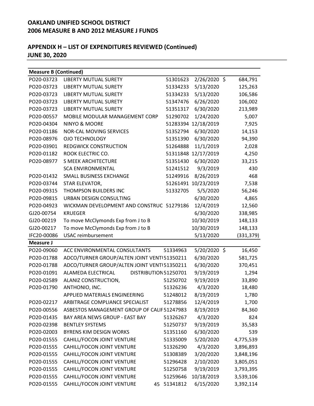| <b>Measure B (Continued)</b> |                                             |             |                     |            |
|------------------------------|---------------------------------------------|-------------|---------------------|------------|
| PO20-03723                   | <b>LIBERTY MUTUAL SURETY</b>                | 51301623    | $2/26/2020$ \$      | 684,791    |
| PO20-03723                   | <b>LIBERTY MUTUAL SURETY</b>                | 51334233    | 5/13/2020           | 125,263    |
| PO20-03723                   | <b>LIBERTY MUTUAL SURETY</b>                | 51334233    | 5/13/2020           | 106,586    |
| PO20-03723                   | <b>LIBERTY MUTUAL SURETY</b>                | 51347476    | 6/26/2020           | 106,002    |
| PO20-03723                   | <b>LIBERTY MUTUAL SURETY</b>                | 51351317    | 6/30/2020           | 213,989    |
| PO20-00557                   | MOBILE MODULAR MANAGEMENT CORP              | 51290702    | 1/24/2020           | 5,007      |
| PO20-04304                   | NINYO & MOORE                               | 51283394    | 12/18/2019          | 7,925      |
| PO20-01186                   | <b>NOR-CAL MOVING SERVICES</b>              | 51352794    | 6/30/2020           | 14,153     |
| PO20-08976                   | <b>OJO TECHNOLOGY</b>                       | 51351390    | 6/30/2020           | 94,390     |
| PO20-03901                   | <b>REDGWICK CONSTRUCTION</b>                | 51264888    | 11/1/2019           | 2,028      |
| PO20-01182                   | ROOK ELECTRIC CO.                           |             | 51311848 12/17/2019 | 4,250      |
| PO20-08977                   | <b>S MEEK ARCHITECTURE</b>                  | 51351430    | 6/30/2020           | 33,215     |
|                              | <b>SCA ENVIRONMENTAL</b>                    | 51241512    | 9/3/2019            | 430        |
| PO20-01432                   | SMALL BUSINESS EXCHANGE                     | 51249916    | 8/26/2019           | 468        |
| PO20-03744                   | STAR ELEVATOR,                              |             | 51261491 10/23/2019 | 7,538      |
| PO20-09315                   | <b>THOMPSON BUILDERS INC</b>                | 51332705    | 5/5/2020            | 56,246     |
| PO20-09815                   | <b>URBAN DESIGN CONSULTING</b>              |             | 6/30/2020           | 4,865      |
| PO20-04923                   | WICKMAN DEVELOPMENT AND CONSTRUC 51279186   |             | 12/4/2019           | 12,560     |
| GJ20-00754                   | <b>KRUEGER</b>                              |             | 6/30/2020           | 338,985    |
| GJ20-00219                   | To move McClymonds Exp from J to B          |             | 10/30/2019          | 148,133    |
| GJ20-00217                   | To move McClymonds Exp from J to B          |             | 10/30/2019          | 148,133    |
| IFC20-00086                  | <b>USAC</b> reimbursement                   |             | 5/13/2020           | (331, 379) |
| <b>Measure J</b>             |                                             |             |                     |            |
| PO20-09060                   | ACC ENVIRONMENTAL CONSULTANTS               | 51334963    | 5/20/2020 \$        | 16,450     |
| PO20-01788                   | ADCO/TURNER GROUP/ALTEN JOINT VENT 51350211 |             | 6/30/2020           | 581,725    |
| PO20-01788                   | ADCO/TURNER GROUP/ALTEN JOINT VENT 51350211 |             | 6/30/2020           | 370,451    |
| PO20-01091                   | ALAMEDA ELECTRICAL<br>DISTRIBUTION 51250701 |             | 9/19/2019           | 1,294      |
| PO20-02589                   | ALANIZ CONSTRUCTION,                        | 51250702    | 9/19/2019           | 33,890     |
| PO20-01790                   | ANTHONIO, INC.                              | 51326236    | 4/3/2020            | 18,480     |
|                              | APPLIED MATERIALS ENGINEERING               | 51248012    | 8/19/2019           | 1,780      |
| PO20-02217                   | ARBITRAGE COMPLIANCE SPECIALIST             | 51278856    | 12/4/2019           | 1,700      |
| PO20-00556                   | ASBESTOS MANAGEMENT GROUP OF CALIF 51247983 |             | 8/19/2019           | 84,360     |
| PO20-01435                   | BAY AREA NEWS GROUP - EAST BAY              | 51326267    | 4/3/2020            | 824        |
| PO20-02398                   | <b>BENTLEY SYSTEMS</b>                      | 51250737    | 9/19/2019           | 35,583     |
| PO20-02003                   | <b>BYRENS KIM DESIGN WORKS</b>              | 51351160    | 6/30/2020           | 539        |
| PO20-01555                   | CAHILL/FOCON JOINT VENTURE                  | 51335009    | 5/20/2020           | 4,775,539  |
| PO20-01555                   | CAHILL/FOCON JOINT VENTURE                  | 51326290    | 4/3/2020            | 3,896,893  |
| PO20-01555                   | CAHILL/FOCON JOINT VENTURE                  | 51308389    | 3/20/2020           | 3,848,196  |
| PO20-01555                   | CAHILL/FOCON JOINT VENTURE                  | 51296428    | 2/10/2020           | 3,805,051  |
| PO20-01555                   | CAHILL/FOCON JOINT VENTURE                  | 51250758    | 9/19/2019           | 3,793,395  |
| PO20-01555                   | CAHILL/FOCON JOINT VENTURE                  | 51259646    | 10/18/2019          | 3,539,106  |
| PO20-01555                   | CAHILL/FOCON JOINT VENTURE                  | 45 51341812 | 6/15/2020           | 3,392,114  |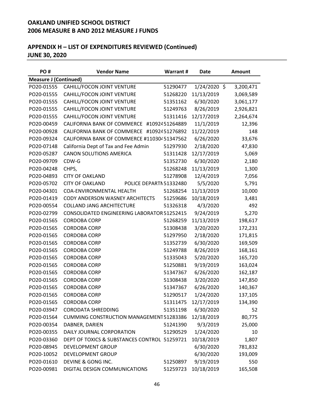| PO#                          | <b>Vendor Name</b>                                | <b>Warrant#</b> | Date         | <b>Amount</b> |
|------------------------------|---------------------------------------------------|-----------------|--------------|---------------|
| <b>Measure J (Continued)</b> |                                                   |                 |              |               |
| PO20-01555                   | CAHILL/FOCON JOINT VENTURE                        | 51290477        | 1/24/2020 \$ | 3,200,471     |
| PO20-01555                   | CAHILL/FOCON JOINT VENTURE                        | 51268220        | 11/13/2019   | 3,069,589     |
| PO20-01555                   | CAHILL/FOCON JOINT VENTURE                        | 51351162        | 6/30/2020    | 3,061,177     |
| PO20-01555                   | CAHILL/FOCON JOINT VENTURE                        | 51249763        | 8/26/2019    | 2,926,821     |
| PO20-01555                   | CAHILL/FOCON JOINT VENTURE                        | 51311416        | 12/17/2019   | 2,264,674     |
| PO20-00459                   | CALIFORNIA BANK OF COMMERCE                       | #1092451264889  | 11/1/2019    | 12,396        |
| PO20-00928                   | CALIFORNIA BANK OF COMMERCE #10924 51276892       |                 | 11/22/2019   | 148           |
| PO20-09324                   | CALIFORNIA BANK OF COMMERCE #110304 51347562      |                 | 6/26/2020    | 33,676        |
| PO20-07148                   | California Dept of Tax and Fee Admin              | 51297930        | 2/18/2020    | 47,830        |
| PO20-05287                   | <b>CANON SOLUTIONS AMERICA</b>                    | 51311428        | 12/17/2019   | 5,069         |
| PO20-09709                   | CDW-G                                             | 51352730        | 6/30/2020    | 2,180         |
| PO20-04248                   | CHPS,                                             | 51268248        | 11/13/2019   | 1,300         |
| PO20-04893                   | <b>CITY OF OAKLAND</b>                            | 51278908        | 12/4/2019    | 7,056         |
| PO20-05702                   | <b>CITY OF OAKLAND</b><br>POLICE DEPARTN 51332480 |                 | 5/5/2020     | 5,791         |
| PO20-04301                   | COA-ENVIRONMENTAL HEALTH                          | 51268254        | 11/13/2019   | 10,000        |
| PO20-01419                   | CODY ANDERSON WASNEY ARCHITECTS                   | 51259686        | 10/18/2019   | 3,481         |
| PO20-00554                   | <b>COLLAND JANG ARCHITECTURE</b>                  | 51326318        | 4/3/2020     | 492           |
| PO20-02799                   | CONSOLIDATED ENGINEERING LABORATOR 51252415       |                 | 9/24/2019    | 5,270         |
| PO20-01565                   | <b>CORDOBA CORP</b>                               | 51268259        | 11/13/2019   | 198,617       |
| PO20-01565                   | <b>CORDOBA CORP</b>                               | 51308438        | 3/20/2020    | 172,231       |
| PO20-01565                   | <b>CORDOBA CORP</b>                               | 51297950        | 2/18/2020    | 171,815       |
| PO20-01565                   | <b>CORDOBA CORP</b>                               | 51352739        | 6/30/2020    | 169,509       |
| PO20-01565                   | <b>CORDOBA CORP</b>                               | 51249788        | 8/26/2019    | 168,161       |
| PO20-01565                   | <b>CORDOBA CORP</b>                               | 51335043        | 5/20/2020    | 165,720       |
| PO20-01565                   | <b>CORDOBA CORP</b>                               | 51250881        | 9/19/2019    | 163,024       |
| PO20-01565                   | <b>CORDOBA CORP</b>                               | 51347367        | 6/26/2020    | 162,187       |
| PO20-01565                   | <b>CORDOBA CORP</b>                               | 51308438        | 3/20/2020    | 147,850       |
| PO20-01565                   | <b>CORDOBA CORP</b>                               | 51347367        | 6/26/2020    | 140,367       |
| PO20-01565                   | <b>CORDOBA CORP</b>                               | 51290517        | 1/24/2020    | 137,105       |
| PO20-01565                   | <b>CORDOBA CORP</b>                               | 51311475        | 12/17/2019   | 134,390       |
| PO20-03947                   | <b>CORODATA SHREDDING</b>                         | 51351198        | 6/30/2020    | 52            |
| PO20-01564                   | <b>CUMMING CONSTRUCTION MANAGEMENT 51283386</b>   |                 | 12/18/2019   | 80,775        |
| PO20-00354                   | DABNER, DARIEN                                    | 51241390        | 9/3/2019     | 25,000        |
| PO20-00355                   | DAILY JOURNAL CORPORATION                         | 51290529        | 1/24/2020    | 10            |
| PO20-03360                   | DEPT OF TOXICS & SUBSTANCES CONTROL 51259721      |                 | 10/18/2019   | 1,807         |
| PO20-08945                   | DEVELOPMENT GROUP                                 |                 | 6/30/2020    | 781,832       |
| PO20-10052                   | <b>DEVELOPMENT GROUP</b>                          |                 | 6/30/2020    | 193,009       |
| PO20-01610                   | DEVINE & GONG INC.                                | 51250897        | 9/19/2019    | 550           |
| PO20-00981                   | DIGITAL DESIGN COMMUNICATIONS                     | 51259723        | 10/18/2019   | 165,508       |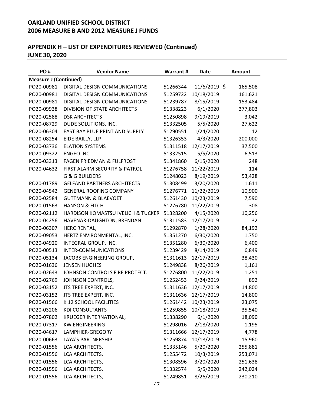| PO#                          | <b>Vendor Name</b>                   | Warrant # | Date         | Amount  |
|------------------------------|--------------------------------------|-----------|--------------|---------|
| <b>Measure J (Continued)</b> |                                      |           |              |         |
| PO20-00981                   | DIGITAL DESIGN COMMUNICATIONS        | 51266344  | 11/6/2019 \$ | 165,508 |
| PO20-00981                   | DIGITAL DESIGN COMMUNICATIONS        | 51259722  | 10/18/2019   | 161,621 |
| PO20-00981                   | DIGITAL DESIGN COMMUNICATIONS        | 51239787  | 8/15/2019    | 153,484 |
| PO20-09938                   | DIVISION OF STATE ARCHITECTS         | 51338223  | 6/1/2020     | 377,803 |
| PO20-02588                   | <b>DSK ARCHITECTS</b>                | 51250898  | 9/19/2019    | 3,042   |
| PO20-08729                   | DUDE SOLUTIONS, INC.                 | 51332505  | 5/5/2020     | 27,622  |
| PO20-06304                   | EAST BAY BLUE PRINT AND SUPPLY       | 51290551  | 1/24/2020    | 12      |
| PO20-08254                   | EIDE BAILLY, LLP                     | 51326353  | 4/3/2020     | 200,000 |
| PO20-03736                   | <b>ELATION SYSTEMS</b>               | 51311518  | 12/17/2019   | 37,500  |
| PO20-09322                   | ENGEO INC.                           | 51332515  | 5/5/2020     | 6,513   |
| PO20-03313                   | <b>FAGEN FRIEDMAN &amp; FULFROST</b> | 51341860  | 6/15/2020    | 248     |
| PO20-04632                   | FIRST ALARM SECURITY & PATROL        | 51276758  | 11/22/2019   | 114     |
|                              | <b>G &amp; G BUILDERS</b>            | 51248023  | 8/19/2019    | 53,428  |
| PO20-01789                   | <b>GELFAND PARTNERS ARCHITECTS</b>   | 51308499  | 3/20/2020    | 1,611   |
| PO20-04542                   | <b>GENERAL ROOFING COMPANY</b>       | 51276771  | 11/22/2019   | 10,900  |
| PO20-02584                   | <b>GUTTMANN &amp; BLAEVOET</b>       | 51261430  | 10/23/2019   | 7,590   |
| PO20-01563                   | <b>HANSON &amp; FITCH</b>            | 51276780  | 11/22/2019   | 308     |
| PO20-02112                   | HARDISON KOMASTSU IVELICH & TUCKER   | 51328200  | 4/15/2020    | 10,256  |
| PO20-04256                   | HAVENAR-DAUGHTON, BRENDAN            | 51311583  | 12/17/2019   | 32      |
| PO20-06307                   | HERC RENTAL,                         | 51292870  | 1/28/2020    | 84,192  |
| PO20-09053                   | HERTZ ENVIRONMENTAL, INC.            | 51351270  | 6/30/2020    | 1,750   |
| PO20-04920                   | INTEGRAL GROUP, INC.                 | 51351280  | 6/30/2020    | 6,400   |
| PO20-00513                   | INTER-COMMUNICATIONS                 | 51239429  | 8/14/2019    | 6,849   |
| PO20-05134                   | JACOBS ENGINEERING GROUP,            | 51311613  | 12/17/2019   | 38,430  |
| PO20-01636                   | <b>JENSEN HUGHES</b>                 | 51249838  | 8/26/2019    | 1,161   |
| PO20-02643                   | JOHNSON CONTROLS FIRE PROTECT.       | 51276800  | 11/22/2019   | 1,251   |
| PO20-02769                   | JOHNSON CONTROLS,                    | 51252453  | 9/24/2019    | 892     |
| PO20-03152                   | JTS TREE EXPERT, INC.                | 51311636  | 12/17/2019   | 14,800  |
| PO20-03152                   | JTS TREE EXPERT, INC.                | 51311636  | 12/17/2019   | 14,800  |
| PO20-01566                   | K 12 SCHOOL FACILITIES               | 51261442  | 10/23/2019   | 23,075  |
| PO20-03206                   | <b>KDI CONSULTANTS</b>               | 51259855  | 10/18/2019   | 35,540  |
| PO20-07802                   | KRUEGER INTERNATIONAL,               | 51338290  | 6/1/2020     | 18,090  |
| PO20-07317                   | <b>KW ENGINEERING</b>                | 51298016  | 2/18/2020    | 1,195   |
| PO20-04617                   | LAMPHIER-GREGORY                     | 51311666  | 12/17/2019   | 4,778   |
| PO20-00663                   | <b>LAYA'S PARTNERSHIP</b>            | 51259874  | 10/18/2019   | 15,960  |
| PO20-01556                   | LCA ARCHITECTS,                      | 51335146  | 5/20/2020    | 255,881 |
| PO20-01556                   | LCA ARCHITECTS,                      | 51255472  | 10/3/2019    | 253,071 |
| PO20-01556                   | LCA ARCHITECTS,                      | 51308596  | 3/20/2020    | 251,638 |
| PO20-01556                   | LCA ARCHITECTS,                      | 51332574  | 5/5/2020     | 242,024 |
| PO20-01556                   | LCA ARCHITECTS,                      | 51249851  | 8/26/2019    | 230,210 |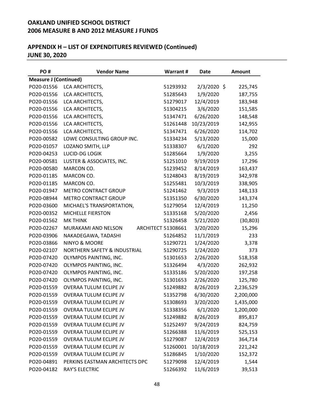| PO#                          | <b>Vendor Name</b>             | Warrant #                 | Date          | <b>Amount</b> |
|------------------------------|--------------------------------|---------------------------|---------------|---------------|
| <b>Measure J (Continued)</b> |                                |                           |               |               |
| PO20-01556                   | LCA ARCHITECTS,                | 51293932                  | $2/3/2020$ \$ | 225,745       |
| PO20-01556                   | LCA ARCHITECTS,                | 51285643                  | 1/9/2020      | 187,755       |
| PO20-01556                   | LCA ARCHITECTS,                | 51279017                  | 12/4/2019     | 183,948       |
| PO20-01556                   | LCA ARCHITECTS,                | 51304215                  | 3/6/2020      | 151,585       |
| PO20-01556                   | LCA ARCHITECTS,                | 51347471                  | 6/26/2020     | 148,548       |
| PO20-01556                   | LCA ARCHITECTS,                | 51261448                  | 10/23/2019    | 142,955       |
| PO20-01556                   | LCA ARCHITECTS,                | 51347471                  | 6/26/2020     | 114,702       |
| PO20-00582                   | LOWE CONSULTING GROUP INC.     | 51334234                  | 5/13/2020     | 15,000        |
| PO20-01057                   | LOZANO SMITH, LLP              | 51338307                  | 6/1/2020      | 292           |
| PO20-04253                   | LUCID-DG LOGIK                 | 51285664                  | 1/9/2020      | 3,255         |
| PO20-00581                   | LUSTER & ASSOCIATES, INC.      | 51251010                  | 9/19/2019     | 17,296        |
| PO20-00580                   | MARCON CO.                     | 51239452                  | 8/14/2019     | 163,437       |
| PO20-01185                   | MARCON CO.                     | 51248043                  | 8/19/2019     | 342,978       |
| PO20-01185                   | MARCON CO.                     | 51255481                  | 10/3/2019     | 338,905       |
| PO20-01947                   | <b>METRO CONTRACT GROUP</b>    | 51241462                  | 9/3/2019      | 148,133       |
| PO20-08944                   | <b>METRO CONTRACT GROUP</b>    | 51351350                  | 6/30/2020     | 143,374       |
| PO20-03600                   | MICHAEL'S TRANSPORTATION,      | 51279054                  | 12/4/2019     | 11,250        |
| PO20-00352                   | MICHELLE FIERSTON              | 51335168                  | 5/20/2020     | 2,456         |
| PO20-01562                   | <b>MK THINK</b>                | 51326458                  | 5/21/2020     | (30, 803)     |
| PO20-02267                   | MURAKAMI AND NELSON            | <b>ARCHITECT 51308661</b> | 3/20/2020     | 15,296        |
| PO20-03906                   | NAKADEGAWA, TADASHI            | 51264852                  | 11/1/2019     | 233           |
| PO20-03866                   | NINYO & MOORE                  | 51290721                  | 1/24/2020     | 3,378         |
| PO20-02107                   | NORTHERN SAFETY & INDUSTRIAL   | 51290725                  | 1/24/2020     | 373           |
| PO20-07420                   | OLYMPOS PAINTING, INC.         | 51301653                  | 2/26/2020     | 518,358       |
| PO20-07420                   | OLYMPOS PAINTING, INC.         | 51326494                  | 4/3/2020      | 262,932       |
| PO20-07420                   | OLYMPOS PAINTING, INC.         | 51335186                  | 5/20/2020     | 197,258       |
| PO20-07420                   | OLYMPOS PAINTING, INC.         | 51301653                  | 2/26/2020     | 125,780       |
| PO20-01559                   | <b>OVERAA TULUM ECLIPE JV</b>  | 51249882                  | 8/26/2019     | 2,236,529     |
| PO20-01559                   | OVERAA TULUM ECLIPE JV         | 51352798                  | 6/30/2020     | 2,200,000     |
| PO20-01559                   | <b>OVERAA TULUM ECLIPE JV</b>  | 51308693                  | 3/20/2020     | 1,435,000     |
| PO20-01559                   | <b>OVERAA TULUM ECLIPE JV</b>  | 51338356                  | 6/1/2020      | 1,200,000     |
| PO20-01559                   | OVERAA TULUM ECLIPE JV         | 51249882                  | 8/26/2019     | 895,817       |
| PO20-01559                   | <b>OVERAA TULUM ECLIPE JV</b>  | 51252497                  | 9/24/2019     | 824,759       |
| PO20-01559                   | OVERAA TULUM ECLIPE JV         | 51266388                  | 11/6/2019     | 525,153       |
| PO20-01559                   | OVERAA TULUM ECLIPE JV         | 51279087                  | 12/4/2019     | 364,714       |
| PO20-01559                   | <b>OVERAA TULUM ECLIPE JV</b>  | 51260001                  | 10/18/2019    | 221,242       |
| PO20-01559                   | OVERAA TULUM ECLIPE JV         | 51286845                  | 1/10/2020     | 152,372       |
| PO20-04891                   | PERKINS EASTMAN ARCHITECTS DPC | 51279098                  | 12/4/2019     | 1,544         |
| PO20-04182                   | RAY'S ELECTRIC                 | 51266392                  | 11/6/2019     | 39,513        |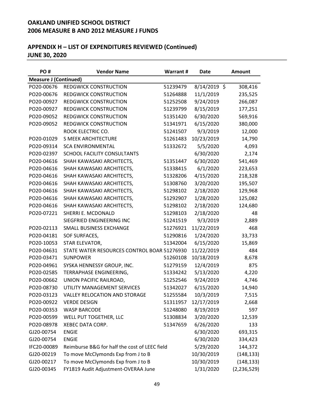| PO#                          | <b>Vendor Name</b>                            | Warrant# | <b>Date</b>  | Amount        |
|------------------------------|-----------------------------------------------|----------|--------------|---------------|
| <b>Measure J (Continued)</b> |                                               |          |              |               |
| PO20-00676                   | <b>REDGWICK CONSTRUCTION</b>                  | 51239479 | 8/14/2019 \$ | 308,416       |
| PO20-00676                   | <b>REDGWICK CONSTRUCTION</b>                  | 51264888 | 11/1/2019    | 235,525       |
| PO20-00927                   | <b>REDGWICK CONSTRUCTION</b>                  | 51252508 | 9/24/2019    | 266,087       |
| PO20-00927                   | <b>REDGWICK CONSTRUCTION</b>                  | 51239799 | 8/15/2019    | 177,251       |
| PO20-09052                   | <b>REDGWICK CONSTRUCTION</b>                  | 51351420 | 6/30/2020    | 569,916       |
| PO20-09052                   | <b>REDGWICK CONSTRUCTION</b>                  | 51341971 | 6/15/2020    | 380,000       |
|                              | ROOK ELECTRIC CO.                             | 51241507 | 9/3/2019     | 12,000        |
| PO20-01029                   | <b>S MEEK ARCHITECTURE</b>                    | 51261483 | 10/23/2019   | 14,790        |
| PO20-09314                   | <b>SCA ENVIRONMENTAL</b>                      | 51332672 | 5/5/2020     | 4,093         |
| PO20-02397                   | SCHOOL FACILITY CONSULTANTS                   |          | 6/30/2020    | 2,174         |
| PO20-04616                   | SHAH KAWASAKI ARCHITECTS,                     | 51351447 | 6/30/2020    | 541,469       |
| PO20-04616                   | SHAH KAWASAKI ARCHITECTS,                     | 51338415 | 6/1/2020     | 223,653       |
| PO20-04616                   | SHAH KAWASAKI ARCHITECTS,                     | 51328206 | 4/15/2020    | 218,328       |
| PO20-04616                   | SHAH KAWASAKI ARCHITECTS,                     | 51308760 | 3/20/2020    | 195,507       |
| PO20-04616                   | SHAH KAWASAKI ARCHITECTS,                     | 51298102 | 2/18/2020    | 129,968       |
| PO20-04616                   | SHAH KAWASAKI ARCHITECTS,                     | 51292907 | 1/28/2020    | 125,082       |
| PO20-04616                   | SHAH KAWASAKI ARCHITECTS,                     | 51298102 | 2/18/2020    | 124,680       |
| PO20-07221                   | SHERRI E. MCDONALD                            | 51298103 | 2/18/2020    | 48            |
|                              | SIEGFRIED ENGINEERING INC                     | 51241519 | 9/3/2019     | 2,889         |
| PO20-02113                   | SMALL BUSINESS EXCHANGE                       | 51276921 | 11/22/2019   | 468           |
| PO20-04181                   | SOF SURFACES,                                 | 51290816 | 1/24/2020    | 33,733        |
| PO20-10053                   | STAR ELEVATOR,                                | 51342004 | 6/15/2020    | 15,869        |
| PO20-04631                   | STATE WATER RESOURCES CONTROL BOAR 51276930   |          | 11/22/2019   | 484           |
| PO20-03471                   | <b>SUNPOWER</b>                               | 51260108 | 10/18/2019   | 8,678         |
| PO20-04961                   | SYSKA HENNESSY GROUP, INC.                    | 51279159 | 12/4/2019    | 875           |
| PO20-02585                   | TERRAPHASE ENGINEERING,                       | 51334242 | 5/13/2020    | 4,220         |
| PO20-00662                   | UNION PACIFIC RAILROAD,                       | 51252546 | 9/24/2019    | 4,746         |
| PO20-08730                   | UTILITY MANAGEMENT SERVICES                   | 51342027 | 6/15/2020    | 14,940        |
| PO20-03123                   | VALLEY RELOCATION AND STORAGE                 | 51255584 | 10/3/2019    | 7,515         |
| PO20-00922                   | <b>VERDE DESIGN</b>                           | 51311957 | 12/17/2019   | 2,668         |
| PO20-00353                   | <b>WASP BARCODE</b>                           | 51248080 | 8/19/2019    | 597           |
| PO20-00599                   | WELL PUT TOGETHER, LLC                        | 51308834 | 3/20/2020    | 12,539        |
| PO20-08978                   | <b>XEBEC DATA CORP.</b>                       | 51347659 | 6/26/2020    | 133           |
| GJ20-00754                   | <b>ENGIE</b>                                  |          | 6/30/2020    | 693,315       |
| GJ20-00754                   | <b>ENGIE</b>                                  |          | 6/30/2020    | 334,423       |
| IFC20-00089                  | Reimburse B&G for half the cost of LEEC field |          | 5/29/2020    | 144,372       |
| GJ20-00219                   | To move McClymonds Exp from J to B            |          | 10/30/2019   | (148, 133)    |
| GJ20-00217                   | To move McClymonds Exp from J to B            |          | 10/30/2019   | (148, 133)    |
| GJ20-00345                   | FY1819 Audit Adjustment-OVERAA June           |          | 1/31/2020    | (2, 236, 529) |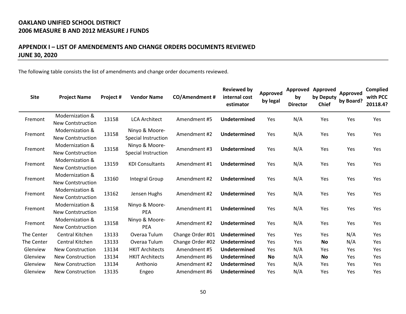### **APPENDIX I – LIST OF AMENDEMENTS AND CHANGE ORDERS DOCUMENTS REVIEWED JUNE 30, 2020**

The following table consists the list of amendments and change order documents reviewed.

| <b>Site</b> | <b>Project Name</b>                         | Project # | <b>Vendor Name</b>                           | CO/Amendment#    | <b>Reviewed by</b><br>internal cost<br>estimator | Approved<br>by legal | <b>Approved</b><br>by<br><b>Director</b> | <b>Approved</b><br>by Deputy<br><b>Chief</b> | Approved<br>by Board? | Complied<br>with PCC<br>20118.4? |
|-------------|---------------------------------------------|-----------|----------------------------------------------|------------------|--------------------------------------------------|----------------------|------------------------------------------|----------------------------------------------|-----------------------|----------------------------------|
| Fremont     | Modernization &<br>New Contstruction        | 13158     | <b>LCA Architect</b>                         | Amendment #5     | Undetermined                                     | Yes                  | N/A                                      | Yes                                          | Yes                   | Yes                              |
| Fremont     | Modernization &<br><b>New Contstruction</b> | 13158     | Ninyo & Moore-<br><b>Special Instruction</b> | Amendment #2     | Undetermined                                     | Yes                  | N/A                                      | Yes                                          | Yes                   | Yes                              |
| Fremont     | Modernization &<br><b>New Contstruction</b> | 13158     | Ninyo & Moore-<br><b>Special Instruction</b> | Amendment #3     | Undetermined                                     | Yes                  | N/A                                      | Yes                                          | Yes                   | Yes                              |
| Fremont     | Modernization &<br><b>New Contstruction</b> | 13159     | <b>KDI Consultants</b>                       | Amendment #1     | Undetermined                                     | Yes                  | N/A                                      | Yes                                          | Yes                   | Yes                              |
| Fremont     | Modernization &<br><b>New Contstruction</b> | 13160     | Integral Group                               | Amendment #2     | Undetermined                                     | Yes                  | N/A                                      | Yes                                          | Yes                   | Yes                              |
| Fremont     | Modernization &<br><b>New Contstruction</b> | 13162     | Jensen Hughs                                 | Amendment #2     | Undetermined                                     | Yes                  | N/A                                      | Yes                                          | Yes                   | Yes                              |
| Fremont     | Modernization &<br><b>New Contstruction</b> | 13158     | Ninyo & Moore-<br><b>PEA</b>                 | Amendment #1     | Undetermined                                     | Yes                  | N/A                                      | Yes                                          | Yes                   | Yes                              |
| Fremont     | Modernization &<br><b>New Contstruction</b> | 13158     | Ninyo & Moore-<br><b>PEA</b>                 | Amendment #2     | Undetermined                                     | Yes                  | N/A                                      | Yes                                          | Yes                   | Yes                              |
| The Center  | Central Kitchen                             | 13133     | Overaa Tulum                                 | Change Order #01 | Undetermined                                     | Yes                  | Yes                                      | Yes                                          | N/A                   | Yes                              |
| The Center  | Central Kitchen                             | 13133     | Overaa Tulum                                 | Change Order #02 | <b>Undetermined</b>                              | Yes                  | Yes                                      | <b>No</b>                                    | N/A                   | Yes                              |
| Glenview    | New Construction                            | 13134     | <b>HKIT Architects</b>                       | Amendment #5     | <b>Undetermined</b>                              | Yes                  | N/A                                      | <b>Yes</b>                                   | Yes                   | Yes                              |
| Glenview    | New Construction                            | 13134     | <b>HKIT Architects</b>                       | Amendment #6     | Undetermined                                     | <b>No</b>            | N/A                                      | <b>No</b>                                    | Yes                   | Yes                              |
| Glenview    | <b>New Construction</b>                     | 13134     | Anthonio                                     | Amendment #2     | Undetermined                                     | Yes                  | N/A                                      | Yes                                          | Yes                   | Yes                              |
| Glenview    | <b>New Construction</b>                     | 13135     | Engeo                                        | Amendment #6     | Undetermined                                     | Yes                  | N/A                                      | Yes                                          | Yes                   | Yes                              |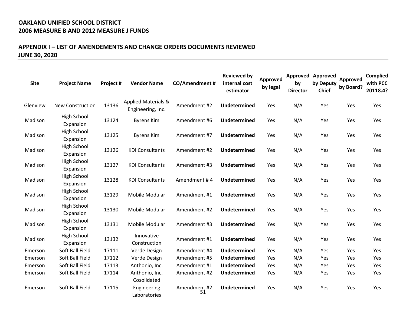#### **APPENDIX I – LIST OF AMENDEMENTS AND CHANGE ORDERS DOCUMENTS REVIEWED JUNE 30, 2020**

| <b>Site</b> | <b>Project Name</b>             | Project # | <b>Vendor Name</b>                                  | <b>CO/Amendment#</b> | <b>Reviewed by</b><br>internal cost<br>estimator | Approved<br>by legal | by<br><b>Director</b> | <b>Approved Approved</b><br>by Deputy<br><b>Chief</b> | Approved<br>by Board? | <b>Complied</b><br>with PCC<br>20118.4? |
|-------------|---------------------------------|-----------|-----------------------------------------------------|----------------------|--------------------------------------------------|----------------------|-----------------------|-------------------------------------------------------|-----------------------|-----------------------------------------|
| Glenview    | <b>New Construction</b>         | 13136     | <b>Applied Materials &amp;</b><br>Engineering, Inc. | Amendment #2         | <b>Undetermined</b>                              | Yes                  | N/A                   | Yes                                                   | Yes                   | Yes                                     |
| Madison     | <b>High School</b><br>Expansion | 13124     | <b>Byrens Kim</b>                                   | Amendment #6         | Undetermined                                     | Yes                  | N/A                   | Yes                                                   | Yes                   | Yes                                     |
| Madison     | High School<br>Expansion        | 13125     | <b>Byrens Kim</b>                                   | Amendment #7         | <b>Undetermined</b>                              | Yes                  | N/A                   | Yes                                                   | Yes                   | Yes                                     |
| Madison     | <b>High School</b><br>Expansion | 13126     | <b>KDI Consultants</b>                              | Amendment #2         | <b>Undetermined</b>                              | Yes                  | N/A                   | Yes                                                   | Yes                   | Yes                                     |
| Madison     | High School<br>Expansion        | 13127     | <b>KDI Consultants</b>                              | Amendment #3         | Undetermined                                     | Yes                  | N/A                   | Yes                                                   | Yes                   | Yes                                     |
| Madison     | High School<br>Expansion        | 13128     | <b>KDI Consultants</b>                              | Amendment #4         | <b>Undetermined</b>                              | Yes                  | N/A                   | Yes                                                   | Yes                   | Yes                                     |
| Madison     | <b>High School</b><br>Expansion | 13129     | Mobile Modular                                      | Amendment #1         | Undetermined                                     | Yes                  | N/A                   | Yes                                                   | Yes                   | Yes                                     |
| Madison     | High School<br>Expansion        | 13130     | Mobile Modular                                      | Amendment #2         | <b>Undetermined</b>                              | Yes                  | N/A                   | Yes                                                   | Yes                   | Yes                                     |
| Madison     | <b>High School</b><br>Expansion | 13131     | Mobile Modular                                      | Amendment #3         | Undetermined                                     | Yes                  | N/A                   | Yes                                                   | Yes                   | Yes                                     |
| Madison     | High School<br>Expansion        | 13132     | Innovative<br>Construction                          | Amendment #1         | <b>Undetermined</b>                              | Yes                  | N/A                   | Yes                                                   | Yes                   | Yes                                     |
| Emerson     | Soft Ball Field                 | 17111     | Verde Design                                        | Amendment #4         | Undetermined                                     | Yes                  | N/A                   | Yes                                                   | Yes                   | Yes                                     |
| Emerson     | Soft Ball Field                 | 17112     | Verde Design                                        | Amendment #5         | Undetermined                                     | Yes                  | N/A                   | Yes                                                   | Yes                   | Yes                                     |
| Emerson     | Soft Ball Field                 | 17113     | Anthonio, Inc.                                      | Amendment #1         | Undetermined                                     | Yes                  | N/A                   | Yes                                                   | Yes                   | Yes                                     |
| Emerson     | Soft Ball Field                 | 17114     | Anthonio, Inc.<br>Cosolidated                       | Amendment #2         | <b>Undetermined</b>                              | Yes                  | N/A                   | Yes                                                   | Yes                   | Yes                                     |
| Emerson     | Soft Ball Field                 | 17115     | Engineering<br>Laboratories                         | Amendment #2<br>51   | Undetermined                                     | Yes                  | N/A                   | Yes                                                   | Yes                   | Yes                                     |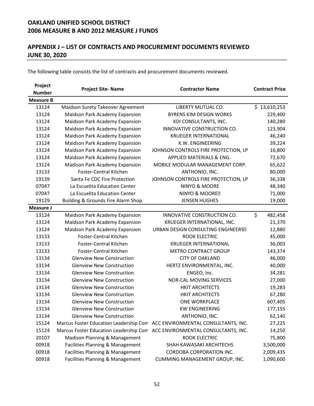## **APPENDIX J – LIST OF CONTRACTS AND PROCUREMENT DOCUMENTS REVIEWED JUNE 30, 2020**

The following table consists the list of contracts and procurement documents reviewed.

| Project          | <b>Project Site-Name</b>              | <b>Contractor Name</b>                                                     | <b>Contract Price</b> |  |
|------------------|---------------------------------------|----------------------------------------------------------------------------|-----------------------|--|
| <b>Number</b>    |                                       |                                                                            |                       |  |
| <b>Measure B</b> |                                       |                                                                            |                       |  |
| 13124            | Maidson Surety Takeover Agreement     | LIBERTY MUTUAL CO.                                                         | \$13,610,253          |  |
| 13124            | Maidson Park Academy Expansion        | <b>BYRENS KIM DESIGN WORKS</b>                                             | 229,400               |  |
| 13124            | Maidson Park Academy Expansion        | KDI CONSULTANTS, INC.                                                      | 140,280               |  |
| 13124            | Maidson Park Academy Expansion        | INNOVATIVE CONSTRUCTION CO.                                                | 123,904               |  |
| 13124            | Maidson Park Academy Expansion        | <b>KRUEGER INTERNATIONAL</b>                                               | 46,240                |  |
| 13124            | Maidson Park Academy Expansion        | K.W. ENGINEERING                                                           | 39,224                |  |
| 13124            | Maidson Park Academy Expansion        | JOHNSON CONTROLS FIRE PROTECTION, LP                                       | 16,800                |  |
| 13124            | Maidson Park Academy Expansion        | APPLIED MATERIALS & ENG.                                                   | 72,670                |  |
| 13124            | <b>Madison Park Academy Expansion</b> | MOBILE MODULAR MANAGEMENT CORP.                                            | 65,622                |  |
| 13133            | <b>Foster-Central Kitchen</b>         | ANTHONIO, INC.                                                             | 80,000                |  |
| 19139            | Santa Fe CDC Fire Protection          | JOHNSON CONTROLS FIRE PROTECTION, LP                                       | 36,338                |  |
| 07047            | La Escuelita Education Center         | NINYO & MOORE                                                              | 48,340                |  |
| 07047            | La Escuelita Education Center         | NINYO & MOORER                                                             | 71,000                |  |
| 19129            | Building & Grounds Fire Alarm Shop    | <b>JENSEN HUGHES</b>                                                       | 19,000                |  |
| Measure J        |                                       |                                                                            |                       |  |
| 13124            | Maidson Park Academy Expansion        | INNOVATIVE CONSTRUCTION CO.                                                | \$<br>482,458         |  |
| 13124            | Maidson Park Academy Expansion        | KRUEGER INTERNATIONAL, INC.                                                | 21,370                |  |
| 13124            | Maidson Park Academy Expansion        | URBAN DESIGN CONSULTING ENGINEERS?                                         | 12,880                |  |
| 13133            | Foster-Central Kitchen                | ROOK ELECTRIC                                                              | 45,000                |  |
| 13133            | <b>Foster-Central Kitchen</b>         | <b>KRUEGER INTERNATIONAL</b>                                               | 36,003                |  |
| 13133            | <b>Foster-Central Kitchen</b>         | <b>METRO CONTRACT GROUP</b>                                                | 143,374               |  |
| 13134            | <b>Glenview New Construction</b>      | <b>CITY OF OAKLAND</b>                                                     | 46,000                |  |
| 13134            | <b>Glenview New Construction</b>      | HERTZ ENVIRONMENTAL, INC.                                                  | 40,000                |  |
| 13134            | <b>Glenview New Construction</b>      | ENGEO, Inc.                                                                | 34,281                |  |
| 13134            | <b>Glenview New Construction</b>      | NOR-CAL MOVING SERVICES                                                    | 27,000                |  |
| 13134            | <b>Glenview New Construction</b>      | <b>HKIT ARCHITECTS</b>                                                     | 19,283                |  |
| 13134            | <b>Glenview New Construction</b>      | <b>HKIT ARCHITECTS</b>                                                     | 67,280                |  |
| 13134            | <b>Glenview New Construction</b>      | <b>ONE WORKPLACE</b>                                                       | 607,405               |  |
| 13134            | <b>Glenview New Construction</b>      | <b>KW ENGINEERING</b>                                                      | 177,155               |  |
| 13134            | <b>Glenview New Construction</b>      | ANTHONIO, INC.                                                             | 62,140                |  |
| 15124            |                                       | Marcus Foster Education Leadership Com ACC ENVIRONMENTAL CONSULTANTS, INC. | 27,225                |  |
| 15124            |                                       | Marcus Foster Education Leadership Com ACC ENVIRONMENTAL CONSULTANTS, INC. | 14,250                |  |
| 20107            | Madison Planning & Management         | ROOK ELECTRIC                                                              | 75,800                |  |
| 00918            | Facilities Planning & Management      | SHAH KAWASAKI ARCHITECHS                                                   | 3,500,000             |  |
| 00918            | Facilities Planning & Management      | CORDOBA CORPORATION INC.                                                   | 2,009,435             |  |
| 00918            | Facilities Planning & Management      | CUMMING MANAGEMENT GROUP, INC.                                             | 1,090,600             |  |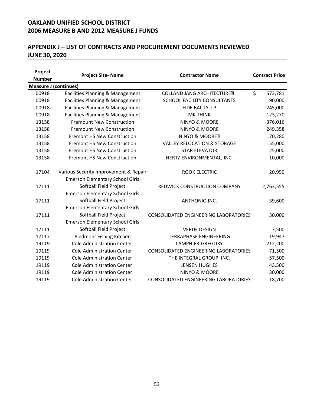### **APPENDIX J – LIST OF CONTRACTS AND PROCUREMENT DOCUMENTS REVIEWED JUNE 30, 2020**

| Project                      | <b>Project Site-Name</b>               | <b>Contractor Name</b>                       |    | <b>Contract Price</b> |  |
|------------------------------|----------------------------------------|----------------------------------------------|----|-----------------------|--|
| <b>Number</b>                |                                        |                                              |    |                       |  |
| <b>Measure J (continues)</b> |                                        |                                              |    |                       |  |
| 00918                        | Facilities Planning & Management       | <b>COLLAND JANG ARCHITECTURED</b>            | \$ | 573,781               |  |
| 00918                        | Facilities Planning & Management       | SCHOOL FACILITY CONSULTANTS                  |    | 190,000               |  |
| 00918                        | Facilities Planning & Management       | EIDE BAILLY, LP                              |    | 245,000               |  |
| 00918                        | Facilities Planning & Management       | <b>MK THINK</b>                              |    | 123,270               |  |
| 13158                        | <b>Fremount New Construction</b>       | NINYO & MOORE                                |    | 376,016               |  |
| 13158                        | <b>Fremount New Construction</b>       | NINYO & MOORE                                |    | 249,358               |  |
| 13158                        | <b>Fremont HS New Construction</b>     | NINYO & MOORER                               |    | 170,280               |  |
| 13158                        | <b>Fremont HS New Construction</b>     | <b>VALLEY RELOCATION &amp; STORAGE</b>       |    | 55,000                |  |
| 13158                        | <b>Fremont HS New Construction</b>     | <b>STAR ELEVATOR</b>                         |    | 25,000                |  |
| 13158                        | <b>Fremont HS New Construction</b>     | HERTZ ENVIRONMENTAL, INC.                    |    | 10,000                |  |
| 17104                        | Various Security Improvement & Repair  | <b>ROOK ELECTRIC</b>                         |    | 20,950                |  |
|                              | <b>Emerson Elementary School Girls</b> |                                              |    |                       |  |
| 17111                        | Softball Field Project                 | REDWICK CONSTRUCTION COMPANY                 |    | 2,763,555             |  |
|                              | <b>Emerson Elementary School Girls</b> |                                              |    |                       |  |
| 17111                        | Softball Field Project                 | ANTHONIO INC.                                |    | 39,600                |  |
|                              | <b>Emerson Elementary School Girls</b> |                                              |    |                       |  |
| 17111                        | Softball Field Project                 | CONSOLIDATED ENGINEERING LABORATORIES        |    | 30,000                |  |
|                              | <b>Emerson Elementary School Girls</b> |                                              |    |                       |  |
| 17111                        | Softball Field Project                 | <b>VERDE DESIGN</b>                          |    | 7,500                 |  |
| 17117                        | Piedmont Fishing Kitchen               | <b>TERRAPHASE ENGINEERING</b>                |    | 19,947                |  |
| 19119                        | <b>Cole Administration Center</b>      | LAMPHIER-GREGORY                             |    | 212,200               |  |
| 19119                        | <b>Cole Administration Center</b>      | CONSOLIDATED ENGINEERING LABORATORIES        |    | 71,500                |  |
| 19119                        | <b>Cole Administration Center</b>      | THE INTEGRAL GROUP, INC.                     |    | 57,500                |  |
| 19119                        | <b>Cole Administration Center</b>      | <b>JENSEN HUGHES</b>                         |    | 43,500                |  |
| 19119                        | <b>Cole Administration Center</b>      | <b>NINYO &amp; MOORE</b>                     |    | 30,000                |  |
| 19119                        | <b>Cole Administration Center</b>      | <b>CONSOLIDATED ENGINEERING LABORATORIES</b> |    | 18,700                |  |